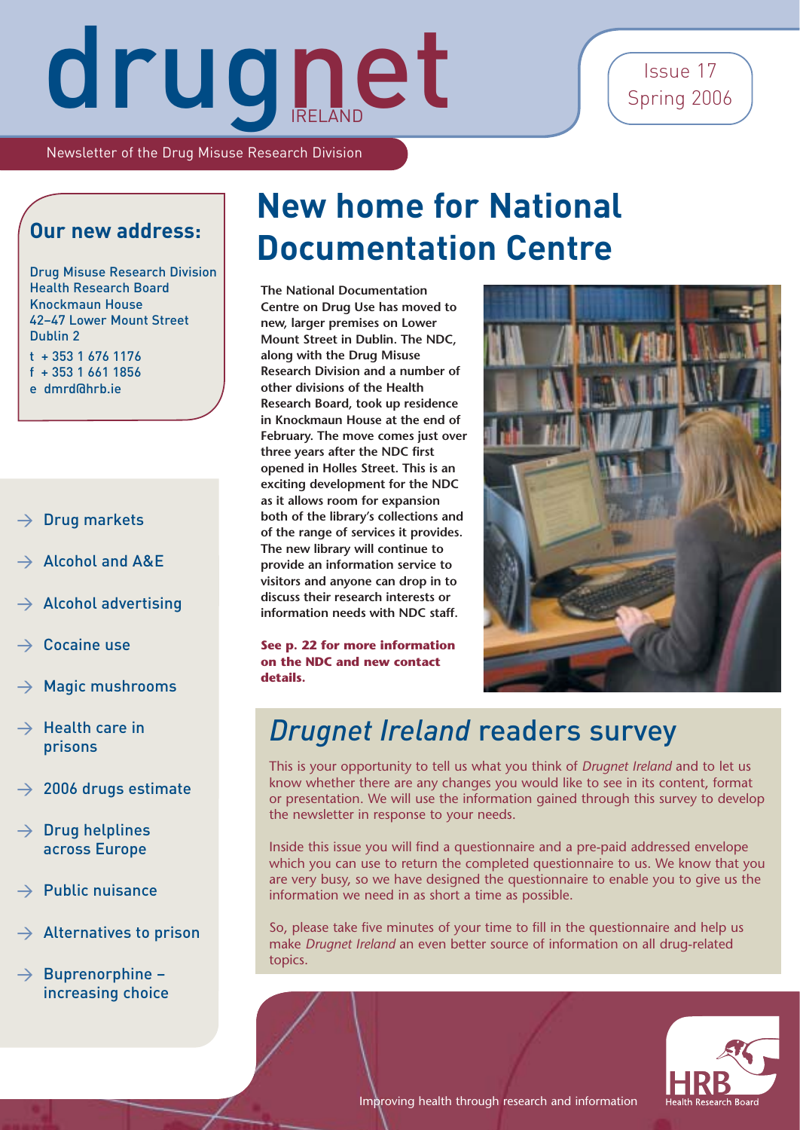### Issue 17 Spring 2006

Newsletter of the Drug Misuse Research Division

### **Our new address:**

Drug Misuse Research Division Health Research Board Knockmaun House 42–47 Lower Mount Street Dublin 2 t + 353 1 676 1176 f + 353 1 661 1856 e dmrd@hrb.ie

- > Drug markets
- > Alcohol and A&E
- Alcohol advertising
- Cocaine use
- Magic mushrooms
- $\rightarrow$  Health care in prisons
- $\rightarrow$  2006 drugs estimate
- $\rightarrow$  Drug helplines across Europe
- $\rightarrow$  Public nuisance
- $\rightarrow$  Alternatives to prison
- $\rightarrow$  Buprenorphine increasing choice

## **New home for National Documentation Centre**

**The National Documentation Centre on Drug Use has moved to new, larger premises on Lower Mount Street in Dublin. The NDC, along with the Drug Misuse Research Division and a number of other divisions of the Health Research Board, took up residence in Knockmaun House at the end of February. The move comes just over three years after the NDC first opened in Holles Street. This is an exciting development for the NDC as it allows room for expansion both of the library's collections and of the range of services it provides. The new library will continue to provide an information service to visitors and anyone can drop in to discuss their research interests or information needs with NDC staff.**

**See p. 22 for more information on the NDC and new contact details.**



### *Drugnet Ireland* readers survey

This is your opportunity to tell us what you think of *Drugnet Ireland* and to let us know whether there are any changes you would like to see in its content, format or presentation. We will use the information gained through this survey to develop the newsletter in response to your needs.

Inside this issue you will find a questionnaire and a pre-paid addressed envelope which you can use to return the completed questionnaire to us. We know that you are very busy, so we have designed the questionnaire to enable you to give us the information we need in as short a time as possible.

So, please take five minutes of your time to fill in the questionnaire and help us make *Drugnet Ireland* an even better source of information on all drug-related topics.



Improving health through research and information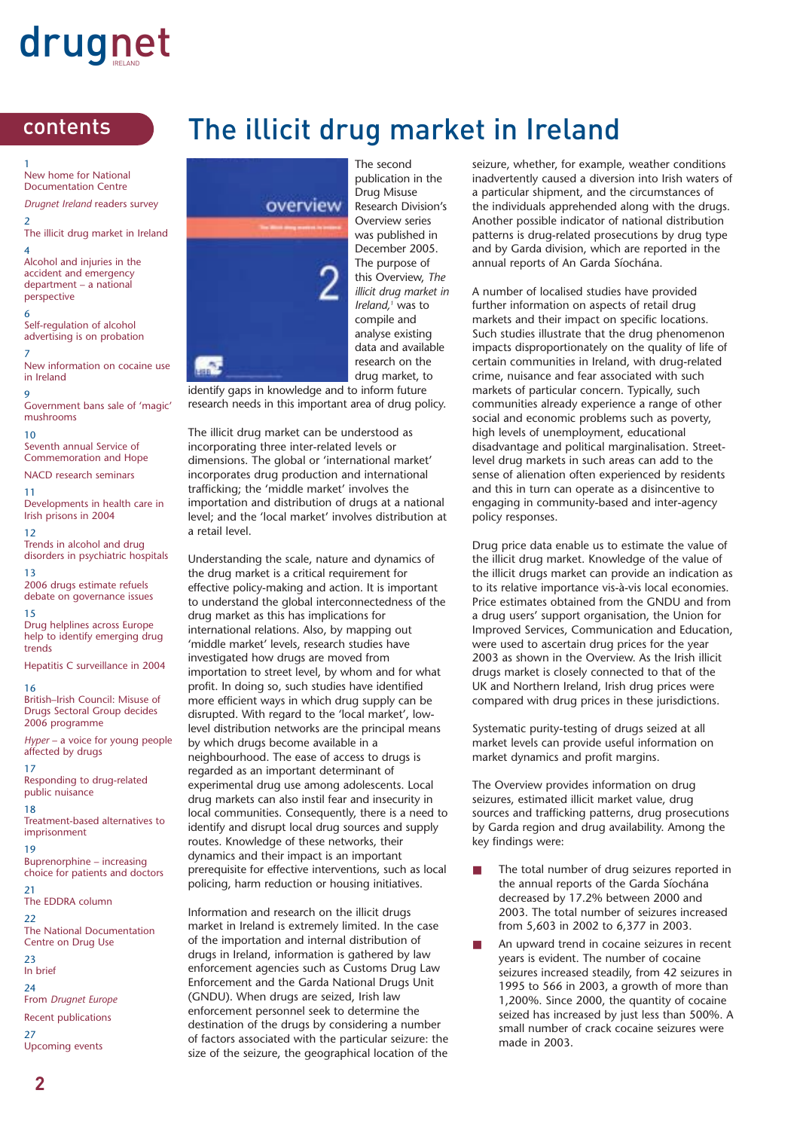1 New home for National Documentation Centre

*Drugnet Ireland* readers survey 2

The illicit drug market in Ireland 4

Alcohol and injuries in the accident and emergency department – a national perspective

6 Self-regulation of alcohol advertising is on probation

7 New information on cocaine use in Ireland

 $\mathbf{o}$ Government bans sale of 'magic' mushrooms

 $10$ 

Seventh annual Service of Commemoration and Hope

NACD research seminars

11 Developments in health care in Irish prisons in 2004

12 Trends in alcohol and drug disorders in psychiatric hospitals

13 2006 drugs estimate refuels debate on governance issues

15 Drug helplines across Europe help to identify emerging drug trends

Hepatitis C surveillance in 2004

#### 16

British–Irish Council: Misuse of Drugs Sectoral Group decides 2006 programme

*Hyper* – a voice for young people affected by drugs

17 Responding to drug-related public nuisance

18 Treatment-based alternatives to imprisonment

19 Buprenorphine – increasing choice for patients and doctors

21 The EDDRA column

22 The National Documentation Centre on Drug Use  $23$ 

In brief

24

From *Drugnet Europe*

Recent publications

27 Upcoming events

### contents The illicit drug market in Ireland



The second publication in the Drug Misuse Research Division's Overview series was published in December 2005. The purpose of this Overview, *The illicit drug market in Ireland,1* was to compile and analyse existing data and available research on the drug market, to

identify gaps in knowledge and to inform future research needs in this important area of drug policy.

The illicit drug market can be understood as incorporating three inter-related levels or dimensions. The global or 'international market' incorporates drug production and international trafficking; the 'middle market' involves the importation and distribution of drugs at a national level; and the 'local market' involves distribution at a retail level.

Understanding the scale, nature and dynamics of the drug market is a critical requirement for effective policy-making and action. It is important to understand the global interconnectedness of the drug market as this has implications for international relations. Also, by mapping out 'middle market' levels, research studies have investigated how drugs are moved from importation to street level, by whom and for what profit. In doing so, such studies have identified more efficient ways in which drug supply can be disrupted. With regard to the 'local market', lowlevel distribution networks are the principal means by which drugs become available in a neighbourhood. The ease of access to drugs is regarded as an important determinant of experimental drug use among adolescents. Local drug markets can also instil fear and insecurity in local communities. Consequently, there is a need to identify and disrupt local drug sources and supply routes. Knowledge of these networks, their dynamics and their impact is an important prerequisite for effective interventions, such as local policing, harm reduction or housing initiatives.

Information and research on the illicit drugs market in Ireland is extremely limited. In the case of the importation and internal distribution of drugs in Ireland, information is gathered by law enforcement agencies such as Customs Drug Law Enforcement and the Garda National Drugs Unit (GNDU). When drugs are seized, Irish law enforcement personnel seek to determine the destination of the drugs by considering a number of factors associated with the particular seizure: the size of the seizure, the geographical location of the

seizure, whether, for example, weather conditions inadvertently caused a diversion into Irish waters of a particular shipment, and the circumstances of the individuals apprehended along with the drugs. Another possible indicator of national distribution patterns is drug-related prosecutions by drug type and by Garda division, which are reported in the annual reports of An Garda Síochána.

A number of localised studies have provided further information on aspects of retail drug markets and their impact on specific locations. Such studies illustrate that the drug phenomenon impacts disproportionately on the quality of life of certain communities in Ireland, with drug-related crime, nuisance and fear associated with such markets of particular concern. Typically, such communities already experience a range of other social and economic problems such as poverty, high levels of unemployment, educational disadvantage and political marginalisation. Streetlevel drug markets in such areas can add to the sense of alienation often experienced by residents and this in turn can operate as a disincentive to engaging in community-based and inter-agency policy responses.

Drug price data enable us to estimate the value of the illicit drug market. Knowledge of the value of the illicit drugs market can provide an indication as to its relative importance vis-à-vis local economies. Price estimates obtained from the GNDU and from a drug users' support organisation, the Union for Improved Services, Communication and Education, were used to ascertain drug prices for the year 2003 as shown in the Overview. As the Irish illicit drugs market is closely connected to that of the UK and Northern Ireland, Irish drug prices were compared with drug prices in these jurisdictions.

Systematic purity-testing of drugs seized at all market levels can provide useful information on market dynamics and profit margins.

The Overview provides information on drug seizures, estimated illicit market value, drug sources and trafficking patterns, drug prosecutions by Garda region and drug availability. Among the key findings were:

- The total number of drug seizures reported in the annual reports of the Garda Síochána decreased by 17.2% between 2000 and 2003. The total number of seizures increased from 5,603 in 2002 to 6,377 in 2003.
- An upward trend in cocaine seizures in recent years is evident. The number of cocaine seizures increased steadily, from 42 seizures in 1995 to 566 in 2003, a growth of more than 1,200%. Since 2000, the quantity of cocaine seized has increased by just less than 500%. A small number of crack cocaine seizures were made in 2003.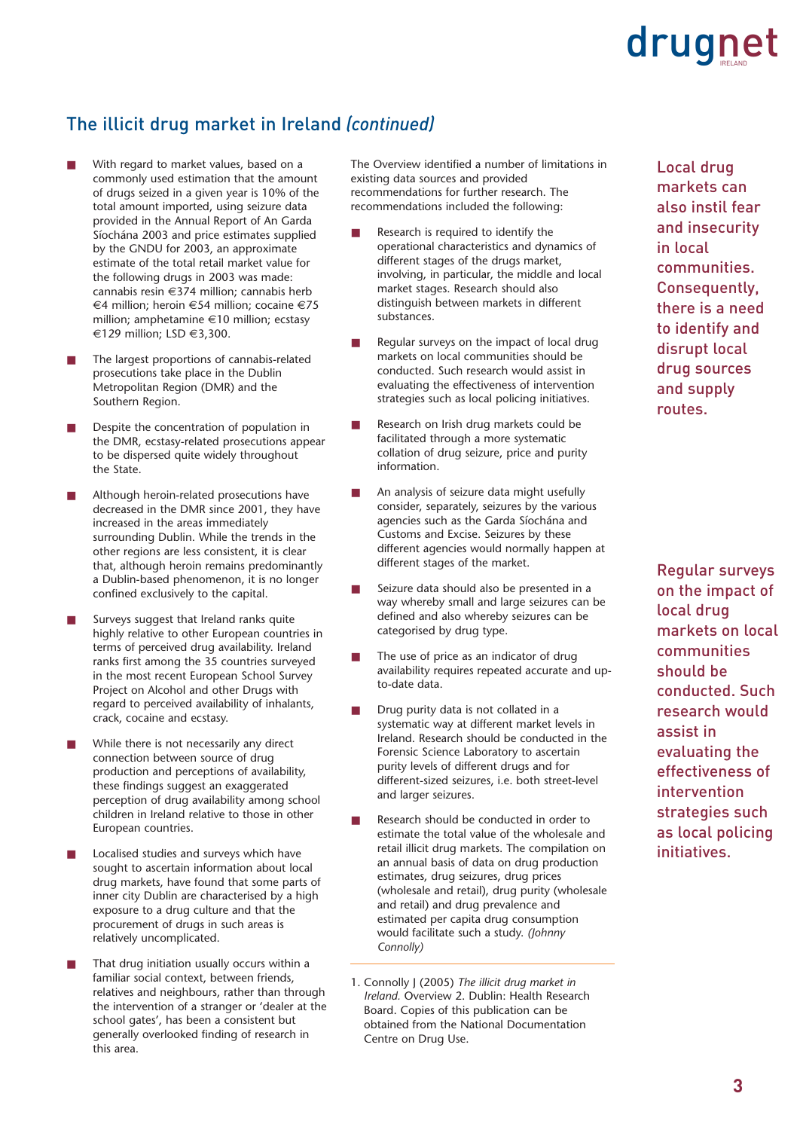### The illicit drug market in Ireland *(continued)*

- With regard to market values, based on a commonly used estimation that the amount of drugs seized in a given year is 10% of the total amount imported, using seizure data provided in the Annual Report of An Garda Síochána 2003 and price estimates supplied by the GNDU for 2003, an approximate estimate of the total retail market value for the following drugs in 2003 was made: cannabis resin €374 million; cannabis herb €4 million; heroin €54 million; cocaine €75 million; amphetamine €10 million; ecstasy €129 million; LSD €3,300.
- The largest proportions of cannabis-related prosecutions take place in the Dublin Metropolitan Region (DMR) and the Southern Region.
- Despite the concentration of population in the DMR, ecstasy-related prosecutions appear to be dispersed quite widely throughout the State.
- Although heroin-related prosecutions have decreased in the DMR since 2001, they have increased in the areas immediately surrounding Dublin. While the trends in the other regions are less consistent, it is clear that, although heroin remains predominantly a Dublin-based phenomenon, it is no longer confined exclusively to the capital.
- Surveys suggest that Ireland ranks quite highly relative to other European countries in terms of perceived drug availability. Ireland ranks first among the 35 countries surveyed in the most recent European School Survey Project on Alcohol and other Drugs with regard to perceived availability of inhalants, crack, cocaine and ecstasy.
- While there is not necessarily any direct connection between source of drug production and perceptions of availability, these findings suggest an exaggerated perception of drug availability among school children in Ireland relative to those in other European countries.
- Localised studies and surveys which have sought to ascertain information about local drug markets, have found that some parts of inner city Dublin are characterised by a high exposure to a drug culture and that the procurement of drugs in such areas is relatively uncomplicated.
- That drug initiation usually occurs within a familiar social context, between friends, relatives and neighbours, rather than through the intervention of a stranger or 'dealer at the school gates', has been a consistent but generally overlooked finding of research in this area.

The Overview identified a number of limitations in existing data sources and provided recommendations for further research. The recommendations included the following:

- Research is required to identify the operational characteristics and dynamics of different stages of the drugs market, involving, in particular, the middle and local market stages. Research should also distinguish between markets in different substances.
- Regular surveys on the impact of local drug markets on local communities should be conducted. Such research would assist in evaluating the effectiveness of intervention strategies such as local policing initiatives.
- Research on Irish drug markets could be facilitated through a more systematic collation of drug seizure, price and purity information.
- An analysis of seizure data might usefully consider, separately, seizures by the various agencies such as the Garda Síochána and Customs and Excise. Seizures by these different agencies would normally happen at different stages of the market.
- Seizure data should also be presented in a way whereby small and large seizures can be defined and also whereby seizures can be categorised by drug type.
- The use of price as an indicator of drug availability requires repeated accurate and upto-date data.
- Drug purity data is not collated in a systematic way at different market levels in Ireland. Research should be conducted in the Forensic Science Laboratory to ascertain purity levels of different drugs and for different-sized seizures, i.e. both street-level and larger seizures.
- Research should be conducted in order to estimate the total value of the wholesale and retail illicit drug markets. The compilation on an annual basis of data on drug production estimates, drug seizures, drug prices (wholesale and retail), drug purity (wholesale and retail) and drug prevalence and estimated per capita drug consumption would facilitate such a study. *(Johnny Connolly)*
- 1. Connolly J (2005) *The illicit drug market in Ireland.* Overview 2. Dublin: Health Research Board. Copies of this publication can be obtained from the National Documentation Centre on Drug Use.

Local drug markets can also instil fear and insecurity in local communities. Consequently, there is a need to identify and disrupt local drug sources and supply routes.

Regular surveys on the impact of local drug markets on local communities should be conducted. Such research would assist in evaluating the effectiveness of intervention strategies such as local policing initiatives.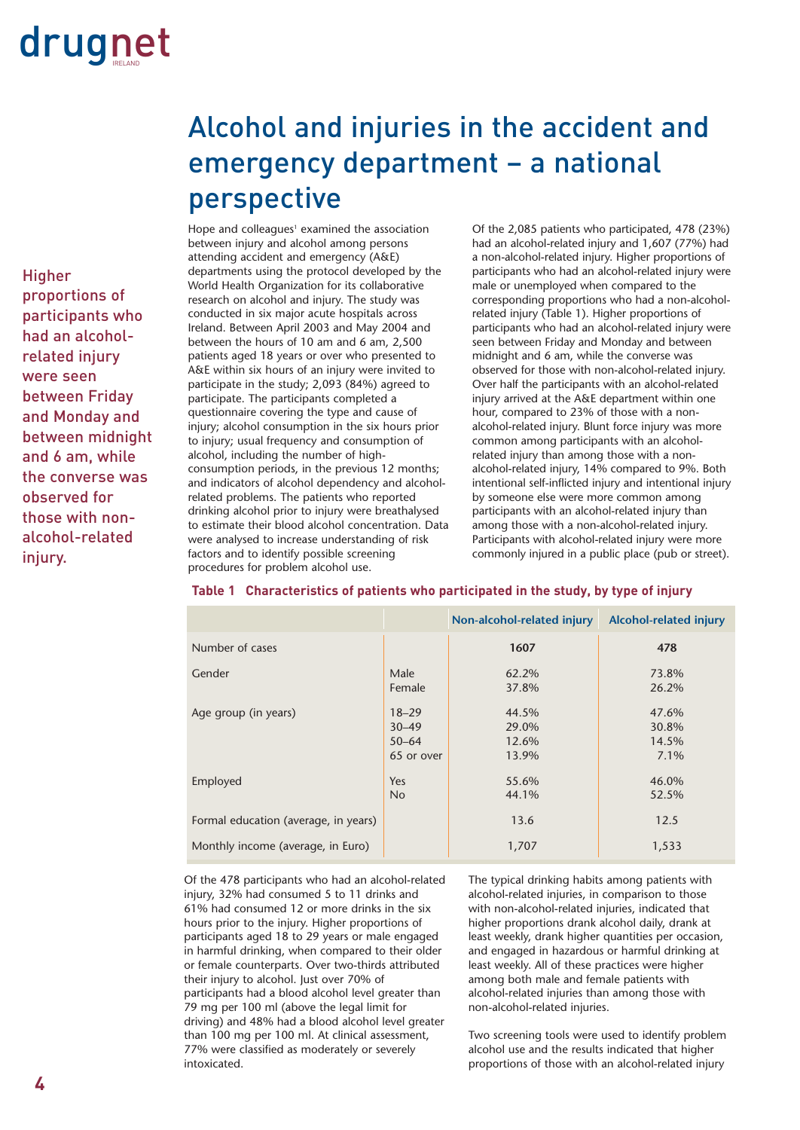Higher proportions of participants who had an alcoholrelated injury were seen between Friday and Monday and between midnight and 6 am, while the converse was observed for those with nonalcohol-related injury.

### Alcohol and injuries in the accident and emergency department – a national perspective

Hope and colleagues $^1$  examined the association between injury and alcohol among persons attending accident and emergency (A&E) departments using the protocol developed by the World Health Organization for its collaborative research on alcohol and injury. The study was conducted in six major acute hospitals across Ireland. Between April 2003 and May 2004 and between the hours of 10 am and 6 am, 2,500 patients aged 18 years or over who presented to A&E within six hours of an injury were invited to participate in the study; 2,093 (84%) agreed to participate. The participants completed a questionnaire covering the type and cause of injury; alcohol consumption in the six hours prior to injury; usual frequency and consumption of alcohol, including the number of highconsumption periods, in the previous 12 months; and indicators of alcohol dependency and alcoholrelated problems. The patients who reported drinking alcohol prior to injury were breathalysed to estimate their blood alcohol concentration. Data were analysed to increase understanding of risk factors and to identify possible screening procedures for problem alcohol use.

Of the 2,085 patients who participated, 478 (23%) had an alcohol-related injury and 1,607 (77%) had a non-alcohol-related injury. Higher proportions of participants who had an alcohol-related injury were male or unemployed when compared to the corresponding proportions who had a non-alcoholrelated injury (Table 1). Higher proportions of participants who had an alcohol-related injury were seen between Friday and Monday and between midnight and 6 am, while the converse was observed for those with non-alcohol-related injury. Over half the participants with an alcohol-related injury arrived at the A&E department within one hour, compared to 23% of those with a nonalcohol-related injury. Blunt force injury was more common among participants with an alcoholrelated injury than among those with a nonalcohol-related injury, 14% compared to 9%. Both intentional self-inflicted injury and intentional injury by someone else were more common among participants with an alcohol-related injury than among those with a non-alcohol-related injury. Participants with alcohol-related injury were more commonly injured in a public place (pub or street).

|                                      |                                                   | Non-alcohol-related injury       | Alcohol-related injury          |
|--------------------------------------|---------------------------------------------------|----------------------------------|---------------------------------|
| Number of cases                      |                                                   | 1607                             | 478                             |
| Gender                               | Male<br>Female                                    | 62.2%<br>37.8%                   | 73.8%<br>26.2%                  |
| Age group (in years)                 | $18 - 29$<br>$30 - 49$<br>$50 - 64$<br>65 or over | 44.5%<br>29.0%<br>12.6%<br>13.9% | 47.6%<br>30.8%<br>14.5%<br>7.1% |
| Employed                             | Yes<br><b>No</b>                                  | 55.6%<br>44.1%                   | 46.0%<br>52.5%                  |
| Formal education (average, in years) |                                                   | 13.6                             | 12.5                            |
| Monthly income (average, in Euro)    |                                                   | 1,707                            | 1,533                           |

### **Table 1 Characteristics of patients who participated in the study, by type of injury**

Of the 478 participants who had an alcohol-related injury, 32% had consumed 5 to 11 drinks and 61% had consumed 12 or more drinks in the six hours prior to the injury. Higher proportions of participants aged 18 to 29 years or male engaged in harmful drinking, when compared to their older or female counterparts. Over two-thirds attributed their injury to alcohol. Just over 70% of participants had a blood alcohol level greater than 79 mg per 100 ml (above the legal limit for driving) and 48% had a blood alcohol level greater than 100 mg per 100 ml. At clinical assessment, 77% were classified as moderately or severely intoxicated.

The typical drinking habits among patients with alcohol-related injuries, in comparison to those with non-alcohol-related injuries, indicated that higher proportions drank alcohol daily, drank at least weekly, drank higher quantities per occasion, and engaged in hazardous or harmful drinking at least weekly. All of these practices were higher among both male and female patients with alcohol-related injuries than among those with non-alcohol-related injuries.

Two screening tools were used to identify problem alcohol use and the results indicated that higher proportions of those with an alcohol-related injury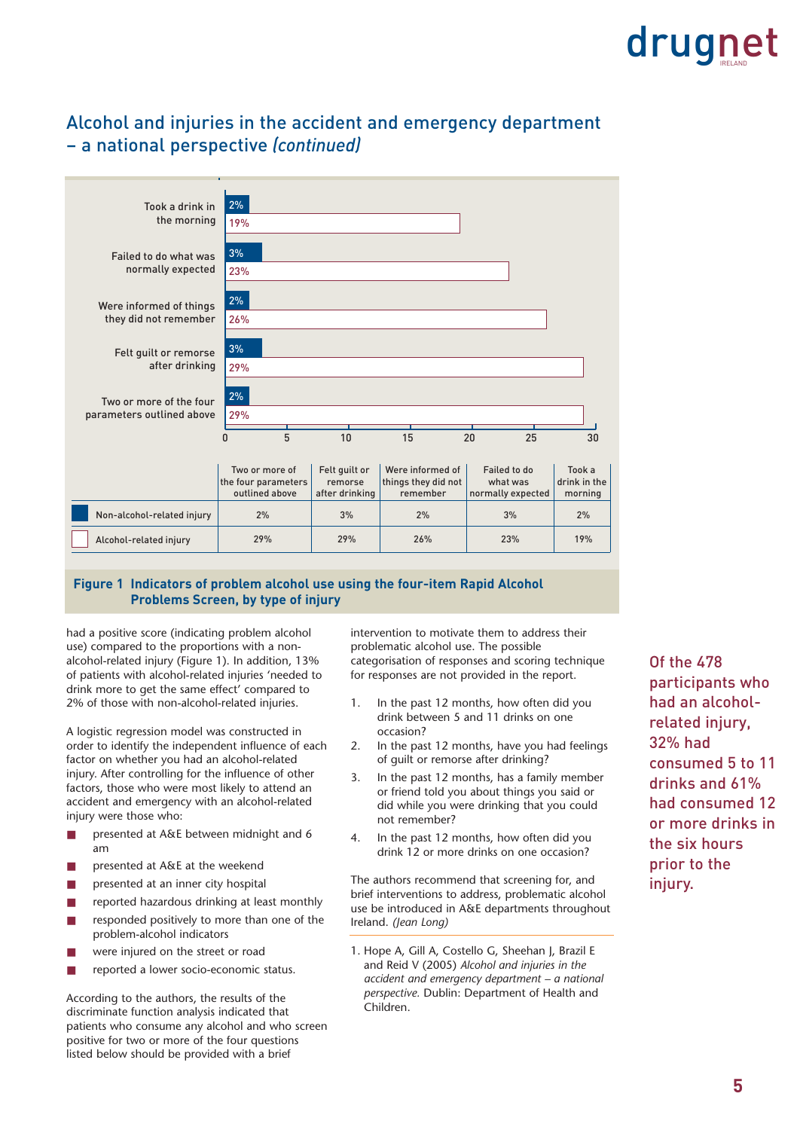### Alcohol and injuries in the accident and emergency department – a national perspective *(continued)*

| Took a drink in<br>the morning                       | 2%<br>19%                                               |                                            |                                                     |                                               |                                   |
|------------------------------------------------------|---------------------------------------------------------|--------------------------------------------|-----------------------------------------------------|-----------------------------------------------|-----------------------------------|
| Failed to do what was<br>normally expected           | 3%<br>23%                                               |                                            |                                                     |                                               |                                   |
| Were informed of things<br>they did not remember     | 2%<br>26%                                               |                                            |                                                     |                                               |                                   |
| Felt quilt or remorse<br>after drinking              | 3%<br>29%                                               |                                            |                                                     |                                               |                                   |
| Two or more of the four<br>parameters outlined above | 2%<br>29%                                               |                                            |                                                     |                                               |                                   |
|                                                      | 5<br>$\mathbf{0}$                                       | 10                                         | 15                                                  | 25<br>20                                      | 30                                |
|                                                      | Two or more of<br>the four parameters<br>outlined above | Felt quilt or<br>remorse<br>after drinking | Were informed of<br>things they did not<br>remember | Failed to do<br>what was<br>normally expected | Took a<br>drink in the<br>morning |
| Non-alcohol-related injury                           | 2%                                                      | 3%                                         | 2%                                                  | 3%                                            | 2%                                |
| Alcohol-related injury                               | 29%                                                     | 29%                                        | 26%                                                 | 23%                                           | 19%                               |

### **Figure 1 Indicators of problem alcohol use using the four-item Rapid Alcohol Problems Screen, by type of injury**

had a positive score (indicating problem alcohol use) compared to the proportions with a nonalcohol-related injury (Figure 1). In addition, 13% of patients with alcohol-related injuries 'needed to drink more to get the same effect' compared to 2% of those with non-alcohol-related injuries.

A logistic regression model was constructed in order to identify the independent influence of each factor on whether you had an alcohol-related injury. After controlling for the influence of other factors, those who were most likely to attend an accident and emergency with an alcohol-related injury were those who:

- presented at A&E between midnight and 6 am
- presented at A&E at the weekend
- presented at an inner city hospital
- reported hazardous drinking at least monthly
- responded positively to more than one of the problem-alcohol indicators
- were injured on the street or road
- reported a lower socio-economic status.

According to the authors, the results of the discriminate function analysis indicated that patients who consume any alcohol and who screen positive for two or more of the four questions listed below should be provided with a brief

intervention to motivate them to address their problematic alcohol use. The possible categorisation of responses and scoring technique for responses are not provided in the report.

- 1. In the past 12 months, how often did you drink between 5 and 11 drinks on one occasion?
- 2. In the past 12 months, have you had feelings of guilt or remorse after drinking?
- 3. In the past 12 months, has a family member or friend told you about things you said or did while you were drinking that you could not remember?
- 4. In the past 12 months, how often did you drink 12 or more drinks on one occasion?

The authors recommend that screening for, and brief interventions to address, problematic alcohol use be introduced in A&E departments throughout Ireland. *(Jean Long)*

1. Hope A, Gill A, Costello G, Sheehan J, Brazil E and Reid V (2005) *Alcohol and injuries in the accident and emergency department – a national perspective.* Dublin: Department of Health and Children.

Of the 478 participants who had an alcoholrelated injury, 32% had consumed 5 to 11 drinks and 61% had consumed 12 or more drinks in the six hours prior to the injury.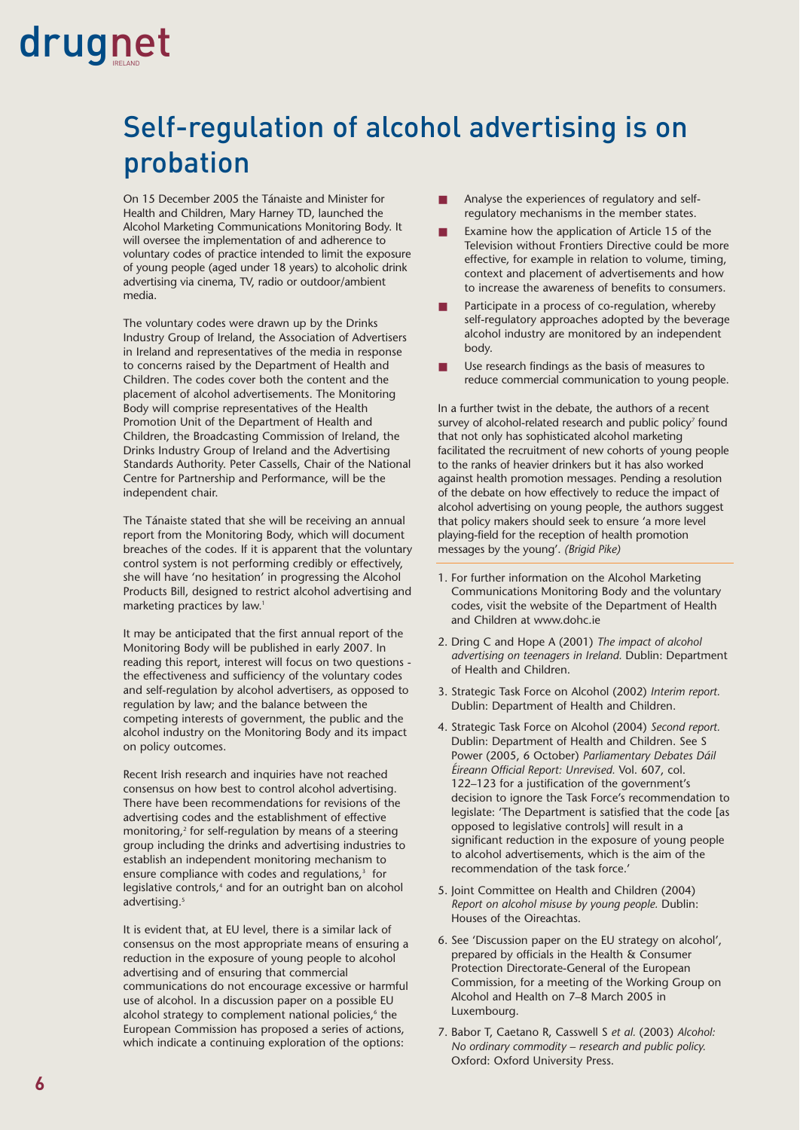### Self-regulation of alcohol advertising is on probation

On 15 December 2005 the Tánaiste and Minister for Health and Children, Mary Harney TD, launched the Alcohol Marketing Communications Monitoring Body. It will oversee the implementation of and adherence to voluntary codes of practice intended to limit the exposure of young people (aged under 18 years) to alcoholic drink advertising via cinema, TV, radio or outdoor/ambient media.

The voluntary codes were drawn up by the Drinks Industry Group of Ireland, the Association of Advertisers in Ireland and representatives of the media in response to concerns raised by the Department of Health and Children. The codes cover both the content and the placement of alcohol advertisements. The Monitoring Body will comprise representatives of the Health Promotion Unit of the Department of Health and Children, the Broadcasting Commission of Ireland, the Drinks Industry Group of Ireland and the Advertising Standards Authority. Peter Cassells, Chair of the National Centre for Partnership and Performance, will be the independent chair.

The Tánaiste stated that she will be receiving an annual report from the Monitoring Body, which will document breaches of the codes. If it is apparent that the voluntary control system is not performing credibly or effectively, she will have 'no hesitation' in progressing the Alcohol Products Bill, designed to restrict alcohol advertising and marketing practices by law.<sup>1</sup>

It may be anticipated that the first annual report of the Monitoring Body will be published in early 2007. In reading this report, interest will focus on two questions the effectiveness and sufficiency of the voluntary codes and self-regulation by alcohol advertisers, as opposed to regulation by law; and the balance between the competing interests of government, the public and the alcohol industry on the Monitoring Body and its impact on policy outcomes.

Recent Irish research and inquiries have not reached consensus on how best to control alcohol advertising. There have been recommendations for revisions of the advertising codes and the establishment of effective monitoring,<sup>2</sup> for self-regulation by means of a steering group including the drinks and advertising industries to establish an independent monitoring mechanism to ensure compliance with codes and regulations,<sup>3</sup> for legislative controls,<sup>4</sup> and for an outright ban on alcohol advertising.<sup>5</sup>

It is evident that, at EU level, there is a similar lack of consensus on the most appropriate means of ensuring a reduction in the exposure of young people to alcohol advertising and of ensuring that commercial communications do not encourage excessive or harmful use of alcohol. In a discussion paper on a possible EU alcohol strategy to complement national policies,<sup>6</sup> the European Commission has proposed a series of actions, which indicate a continuing exploration of the options:

- Analyse the experiences of regulatory and selfregulatory mechanisms in the member states.
- Examine how the application of Article 15 of the Television without Frontiers Directive could be more effective, for example in relation to volume, timing, context and placement of advertisements and how to increase the awareness of benefits to consumers.
- Participate in a process of co-regulation, whereby self-regulatory approaches adopted by the beverage alcohol industry are monitored by an independent body.
- Use research findings as the basis of measures to reduce commercial communication to young people.

In a further twist in the debate, the authors of a recent survey of alcohol-related research and public policy<sup>7</sup> found that not only has sophisticated alcohol marketing facilitated the recruitment of new cohorts of young people to the ranks of heavier drinkers but it has also worked against health promotion messages. Pending a resolution of the debate on how effectively to reduce the impact of alcohol advertising on young people, the authors suggest that policy makers should seek to ensure 'a more level playing-field for the reception of health promotion messages by the young'. *(Brigid Pike)*

- 1. For further information on the Alcohol Marketing Communications Monitoring Body and the voluntary codes, visit the website of the Department of Health and Children at www.dohc.ie
- 2. Dring C and Hope A (2001) *The impact of alcohol advertising on teenagers in Ireland.* Dublin: Department of Health and Children.
- 3. Strategic Task Force on Alcohol (2002) *Interim report.* Dublin: Department of Health and Children.
- 4. Strategic Task Force on Alcohol (2004) *Second report.* Dublin: Department of Health and Children. See S Power (2005, 6 October) *Parliamentary Debates Dáil Éireann Official Report: Unrevised.* Vol. 607, col. 122–123 for a justification of the government's decision to ignore the Task Force's recommendation to legislate: 'The Department is satisfied that the code [as opposed to legislative controls] will result in a significant reduction in the exposure of young people to alcohol advertisements, which is the aim of the recommendation of the task force.'
- 5. Joint Committee on Health and Children (2004) *Report on alcohol misuse by young people.* Dublin: Houses of the Oireachtas.
- 6. See 'Discussion paper on the EU strategy on alcohol', prepared by officials in the Health & Consumer Protection Directorate-General of the European Commission, for a meeting of the Working Group on Alcohol and Health on 7–8 March 2005 in Luxembourg.
- 7. Babor T, Caetano R, Casswell S *et al.* (2003) *Alcohol: No ordinary commodity – research and public policy.* Oxford: Oxford University Press.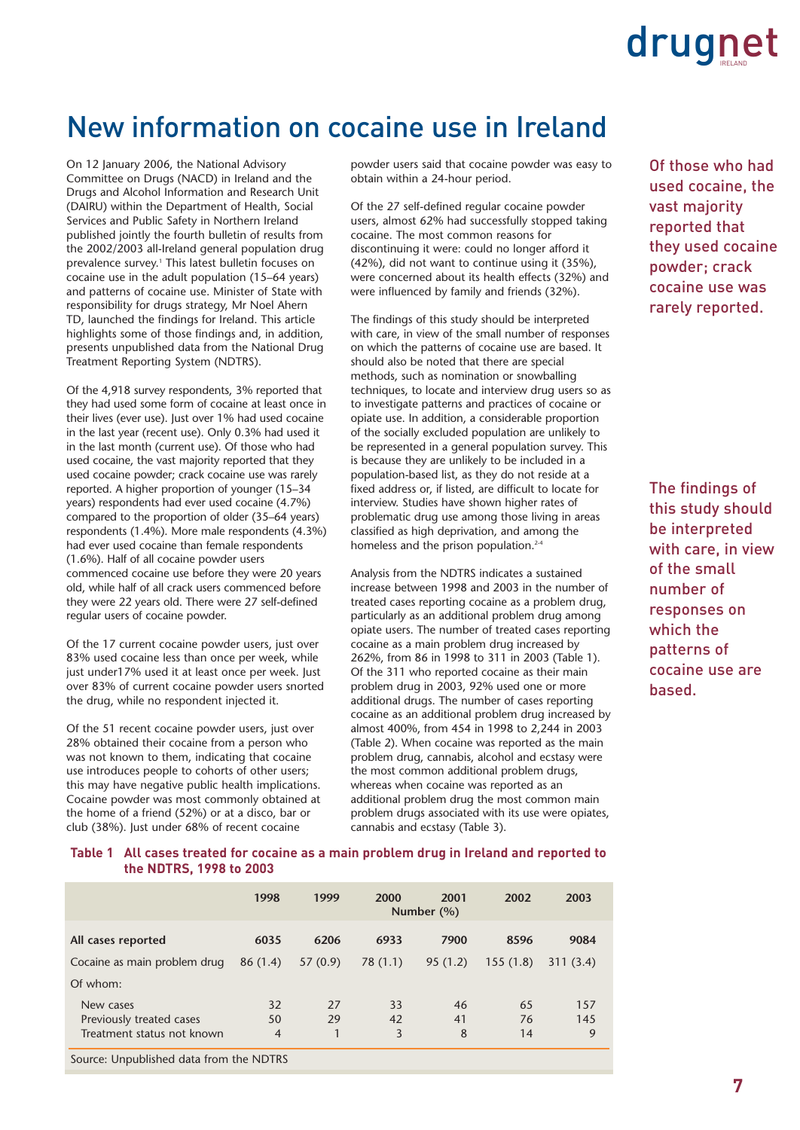### New information on cocaine use in Ireland

On 12 January 2006, the National Advisory Committee on Drugs (NACD) in Ireland and the Drugs and Alcohol Information and Research Unit (DAIRU) within the Department of Health, Social Services and Public Safety in Northern Ireland published jointly the fourth bulletin of results from the 2002/2003 all-Ireland general population drug prevalence survey.<sup>1</sup> This latest bulletin focuses on cocaine use in the adult population (15–64 years) and patterns of cocaine use. Minister of State with responsibility for drugs strategy, Mr Noel Ahern TD, launched the findings for Ireland. This article highlights some of those findings and, in addition, presents unpublished data from the National Drug Treatment Reporting System (NDTRS).

Of the 4,918 survey respondents, 3% reported that they had used some form of cocaine at least once in their lives (ever use). Just over 1% had used cocaine in the last year (recent use). Only 0.3% had used it in the last month (current use). Of those who had used cocaine, the vast majority reported that they used cocaine powder; crack cocaine use was rarely reported. A higher proportion of younger (15–34 years) respondents had ever used cocaine (4.7%) compared to the proportion of older (35–64 years) respondents (1.4%). More male respondents (4.3%) had ever used cocaine than female respondents (1.6%). Half of all cocaine powder users commenced cocaine use before they were 20 years old, while half of all crack users commenced before they were 22 years old. There were 27 self-defined regular users of cocaine powder.

Of the 17 current cocaine powder users, just over 83% used cocaine less than once per week, while just under17% used it at least once per week. Just over 83% of current cocaine powder users snorted the drug, while no respondent injected it.

Of the 51 recent cocaine powder users, just over 28% obtained their cocaine from a person who was not known to them, indicating that cocaine use introduces people to cohorts of other users; this may have negative public health implications. Cocaine powder was most commonly obtained at the home of a friend (52%) or at a disco, bar or club (38%). Just under 68% of recent cocaine

powder users said that cocaine powder was easy to obtain within a 24-hour period.

Of the 27 self-defined regular cocaine powder users, almost 62% had successfully stopped taking cocaine. The most common reasons for discontinuing it were: could no longer afford it (42%), did not want to continue using it (35%), were concerned about its health effects (32%) and were influenced by family and friends (32%).

The findings of this study should be interpreted with care, in view of the small number of responses on which the patterns of cocaine use are based. It should also be noted that there are special methods, such as nomination or snowballing techniques, to locate and interview drug users so as to investigate patterns and practices of cocaine or opiate use. In addition, a considerable proportion of the socially excluded population are unlikely to be represented in a general population survey. This is because they are unlikely to be included in a population-based list, as they do not reside at a fixed address or, if listed, are difficult to locate for interview. Studies have shown higher rates of problematic drug use among those living in areas classified as high deprivation, and among the homeless and the prison population.<sup>2-4</sup>

Analysis from the NDTRS indicates a sustained increase between 1998 and 2003 in the number of treated cases reporting cocaine as a problem drug, particularly as an additional problem drug among opiate users. The number of treated cases reporting cocaine as a main problem drug increased by 262%, from 86 in 1998 to 311 in 2003 (Table 1). Of the 311 who reported cocaine as their main problem drug in 2003, 92% used one or more additional drugs. The number of cases reporting cocaine as an additional problem drug increased by almost 400%, from 454 in 1998 to 2,244 in 2003 (Table 2). When cocaine was reported as the main problem drug, cannabis, alcohol and ecstasy were the most common additional problem drugs, whereas when cocaine was reported as an additional problem drug the most common main problem drugs associated with its use were opiates, cannabis and ecstasy (Table 3).

Of those who had used cocaine, the vast majority reported that they used cocaine powder; crack cocaine use was rarely reported.

The findings of this study should be interpreted with care, in view of the small number of responses on which the patterns of cocaine use are based.

### **Table 1 All cases treated for cocaine as a main problem drug in Ireland and reported to the NDTRS, 1998 to 2003**

|                                         | 1998           | 1999    | 2000     | 2001<br>Number $(\% )$ | 2002     | 2003     |
|-----------------------------------------|----------------|---------|----------|------------------------|----------|----------|
| All cases reported                      | 6035           | 6206    | 6933     | 7900                   | 8596     | 9084     |
| Cocaine as main problem drug            | 86(1.4)        | 57(0.9) | 78 (1.1) | 95(1.2)                | 155(1.8) | 311(3.4) |
| Of whom:                                |                |         |          |                        |          |          |
| New cases                               | 32             | 27      | 33       | 46                     | 65       | 157      |
| Previously treated cases                | 50             | 29      | 42       | 41                     | 76       | 145      |
| Treatment status not known              | $\overline{4}$ |         | 3        | 8                      | 14       | 9        |
| Source: Unpublished data from the NDTRS |                |         |          |                        |          |          |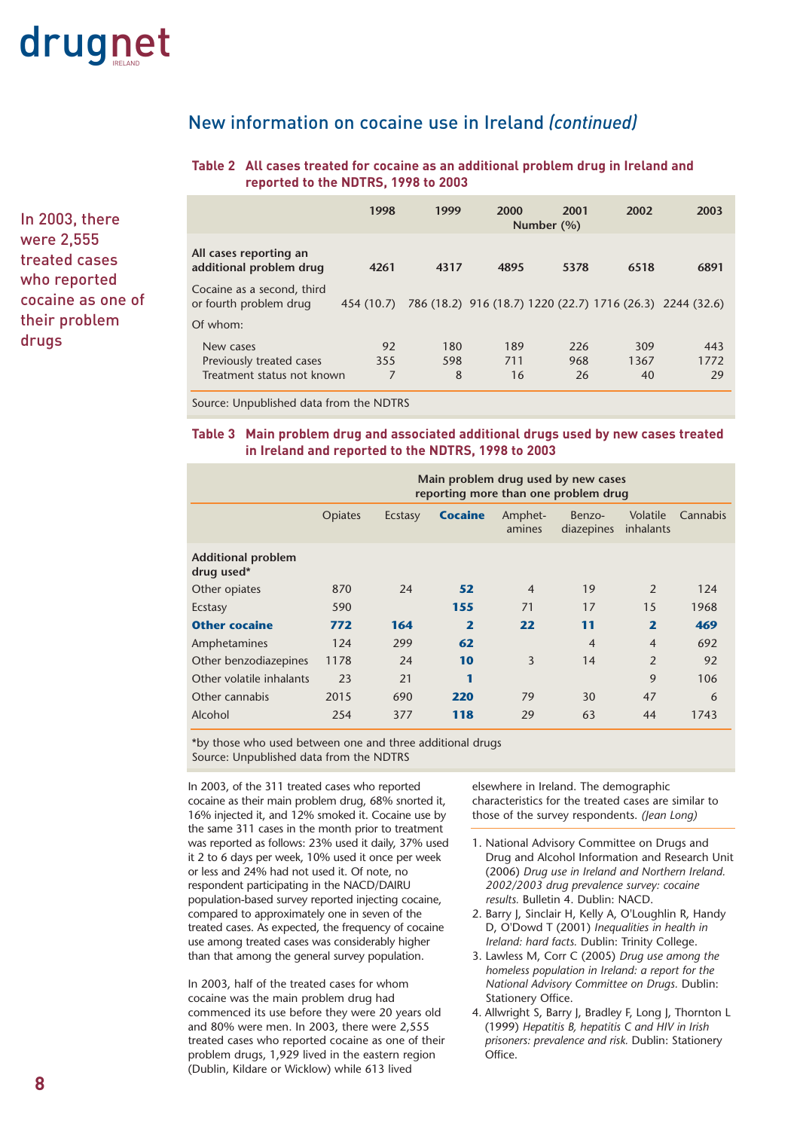

New information on cocaine use in Ireland *(continued)*

### **Table 2 All cases treated for cocaine as an additional problem drug in Ireland and reported to the NDTRS, 1998 to 2003**

|                                                      | 1998       | 1999 | 2000 | 2001<br>Number (%) | 2002 | 2003                                                      |
|------------------------------------------------------|------------|------|------|--------------------|------|-----------------------------------------------------------|
| All cases reporting an<br>additional problem drug    | 4261       | 4317 | 4895 | 5378               | 6518 | 6891                                                      |
| Cocaine as a second, third<br>or fourth problem drug | 454 (10.7) |      |      |                    |      | 786 (18.2) 916 (18.7) 1220 (22.7) 1716 (26.3) 2244 (32.6) |
| Of whom:                                             |            |      |      |                    |      |                                                           |
| New cases                                            | 92         | 180  | 189  | 226                | 309  | 443                                                       |
| Previously treated cases                             | 355        | 598  | 711  | 968                | 1367 | 1772                                                      |
| Treatment status not known                           | 7          | 8    | 16   | 26                 | 40   | 29                                                        |

Source: Unpublished data from the NDTRS

### **Table 3 Main problem drug and associated additional drugs used by new cases treated in Ireland and reported to the NDTRS, 1998 to 2003**

|                                         | Main problem drug used by new cases<br>reporting more than one problem drug |         |                         |                   |                      |                         |          |
|-----------------------------------------|-----------------------------------------------------------------------------|---------|-------------------------|-------------------|----------------------|-------------------------|----------|
|                                         | <b>Opiates</b>                                                              | Ecstasy | <b>Cocaine</b>          | Amphet-<br>amines | Benzo-<br>diazepines | Volatile<br>inhalants   | Cannabis |
| <b>Additional problem</b><br>drug used* |                                                                             |         |                         |                   |                      |                         |          |
| Other opiates                           | 870                                                                         | 24      | 52                      | $\overline{4}$    | 19                   | 2                       | 124      |
| Ecstasy                                 | 590                                                                         |         | 155                     | 71                | 17                   | 15                      | 1968     |
| <b>Other cocaine</b>                    | 772                                                                         | 164     | $\overline{\mathbf{2}}$ | 22                | 11                   | $\overline{\mathbf{z}}$ | 469      |
| Amphetamines                            | 124                                                                         | 299     | 62                      |                   | $\overline{4}$       | $\overline{4}$          | 692      |
| Other benzodiazepines                   | 1178                                                                        | 24      | 10                      | 3                 | 14                   | $\overline{2}$          | 92       |
| Other volatile inhalants                | 23                                                                          | 21      | 1                       |                   |                      | 9                       | 106      |
| Other cannabis                          | 2015                                                                        | 690     | 220                     | 79                | 30                   | 47                      | 6        |
| Alcohol                                 | 254                                                                         | 377     | 118                     | 29                | 63                   | 44                      | 1743     |

\*by those who used between one and three additional drugs Source: Unpublished data from the NDTRS

In 2003, of the 311 treated cases who reported cocaine as their main problem drug, 68% snorted it, 16% injected it, and 12% smoked it. Cocaine use by the same 311 cases in the month prior to treatment was reported as follows: 23% used it daily, 37% used it 2 to 6 days per week, 10% used it once per week or less and 24% had not used it. Of note, no respondent participating in the NACD/DAIRU population-based survey reported injecting cocaine, compared to approximately one in seven of the treated cases. As expected, the frequency of cocaine use among treated cases was considerably higher than that among the general survey population.

In 2003, half of the treated cases for whom cocaine was the main problem drug had commenced its use before they were 20 years old and 80% were men. In 2003, there were 2,555 treated cases who reported cocaine as one of their problem drugs, 1,929 lived in the eastern region (Dublin, Kildare or Wicklow) while 613 lived

elsewhere in Ireland. The demographic characteristics for the treated cases are similar to those of the survey respondents. *(Jean Long)*

- 1. National Advisory Committee on Drugs and Drug and Alcohol Information and Research Unit (2006) *Drug use in Ireland and Northern Ireland. 2002/2003 drug prevalence survey: cocaine results.* Bulletin 4. Dublin: NACD.
- 2. Barry J, Sinclair H, Kelly A, O'Loughlin R, Handy D, O'Dowd T (2001) *Inequalities in health in Ireland: hard facts.* Dublin: Trinity College.
- 3. Lawless M, Corr C (2005) *Drug use among the homeless population in Ireland: a report for the National Advisory Committee on Drugs.* Dublin: Stationery Office.
- 4. Allwright S, Barry J, Bradley F, Long J, Thornton L (1999) *Hepatitis B, hepatitis C and HIV in Irish prisoners: prevalence and risk.* Dublin: Stationery Office.

In 2003, there were 2,555 treated cases who reported cocaine as one of their problem drugs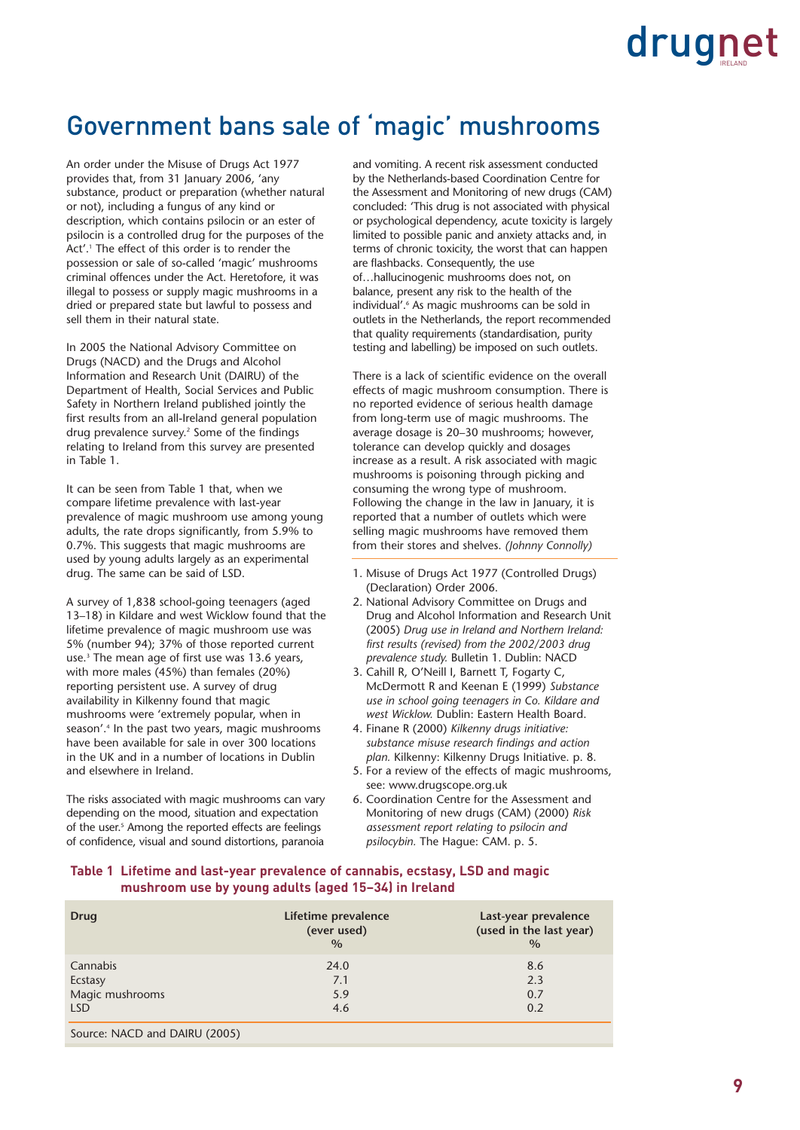### Government bans sale of 'magic' mushrooms

An order under the Misuse of Drugs Act 1977 provides that, from 31 January 2006, 'any substance, product or preparation (whether natural or not), including a fungus of any kind or description, which contains psilocin or an ester of psilocin is a controlled drug for the purposes of the Act'.<sup>1</sup> The effect of this order is to render the possession or sale of so-called 'magic' mushrooms criminal offences under the Act. Heretofore, it was illegal to possess or supply magic mushrooms in a dried or prepared state but lawful to possess and sell them in their natural state.

In 2005 the National Advisory Committee on Drugs (NACD) and the Drugs and Alcohol Information and Research Unit (DAIRU) of the Department of Health, Social Services and Public Safety in Northern Ireland published jointly the first results from an all-Ireland general population drug prevalence survey.<sup>2</sup> Some of the findings relating to Ireland from this survey are presented in Table 1.

It can be seen from Table 1 that, when we compare lifetime prevalence with last-year prevalence of magic mushroom use among young adults, the rate drops significantly, from 5.9% to 0.7%. This suggests that magic mushrooms are used by young adults largely as an experimental drug. The same can be said of LSD.

A survey of 1,838 school-going teenagers (aged 13–18) in Kildare and west Wicklow found that the lifetime prevalence of magic mushroom use was 5% (number 94); 37% of those reported current use.<sup>3</sup> The mean age of first use was 13.6 years, with more males (45%) than females (20%) reporting persistent use. A survey of drug availability in Kilkenny found that magic mushrooms were 'extremely popular, when in season'.4 In the past two years, magic mushrooms have been available for sale in over 300 locations in the UK and in a number of locations in Dublin and elsewhere in Ireland.

The risks associated with magic mushrooms can vary depending on the mood, situation and expectation of the user.<sup>5</sup> Among the reported effects are feelings of confidence, visual and sound distortions, paranoia and vomiting. A recent risk assessment conducted by the Netherlands-based Coordination Centre for the Assessment and Monitoring of new drugs (CAM) concluded: 'This drug is not associated with physical or psychological dependency, acute toxicity is largely limited to possible panic and anxiety attacks and, in terms of chronic toxicity, the worst that can happen are flashbacks. Consequently, the use of…hallucinogenic mushrooms does not, on balance, present any risk to the health of the individual'.<sup>6</sup> As magic mushrooms can be sold in outlets in the Netherlands, the report recommended that quality requirements (standardisation, purity testing and labelling) be imposed on such outlets.

There is a lack of scientific evidence on the overall effects of magic mushroom consumption. There is no reported evidence of serious health damage from long-term use of magic mushrooms. The average dosage is 20–30 mushrooms; however, tolerance can develop quickly and dosages increase as a result. A risk associated with magic mushrooms is poisoning through picking and consuming the wrong type of mushroom. Following the change in the law in January, it is reported that a number of outlets which were selling magic mushrooms have removed them from their stores and shelves. *(Johnny Connolly)*

- 1. Misuse of Drugs Act 1977 (Controlled Drugs) (Declaration) Order 2006.
- 2. National Advisory Committee on Drugs and Drug and Alcohol Information and Research Unit (2005) *Drug use in Ireland and Northern Ireland: first results (revised) from the 2002/2003 drug prevalence study.* Bulletin 1. Dublin: NACD
- 3. Cahill R, O'Neill I, Barnett T, Fogarty C, McDermott R and Keenan E (1999) *Substance use in school going teenagers in Co. Kildare and west Wicklow.* Dublin: Eastern Health Board.
- 4. Finane R (2000) *Kilkenny drugs initiative: substance misuse research findings and action plan.* Kilkenny: Kilkenny Drugs Initiative. p. 8.
- 5. For a review of the effects of magic mushrooms, see: www.drugscope.org.uk
- 6. Coordination Centre for the Assessment and Monitoring of new drugs (CAM) (2000) *Risk assessment report relating to psilocin and psilocybin.* The Hague: CAM. p. 5.

### **Table 1 Lifetime and last-year prevalence of cannabis, ecstasy, LSD and magic mushroom use by young adults (aged 15–34) in Ireland**

| Drug            | Lifetime prevalence<br>(ever used)<br>$\frac{0}{0}$ | Last-year prevalence<br>(used in the last year)<br>$\frac{0}{0}$ |
|-----------------|-----------------------------------------------------|------------------------------------------------------------------|
| Cannabis        | 24.0                                                | 8.6                                                              |
| Ecstasy         | 7.1                                                 | 2.3                                                              |
| Magic mushrooms | 5.9                                                 | 0.7                                                              |
| LSD.            | 4.6                                                 | 0.2                                                              |
|                 |                                                     |                                                                  |

Source: NACD and DAIRU (2005)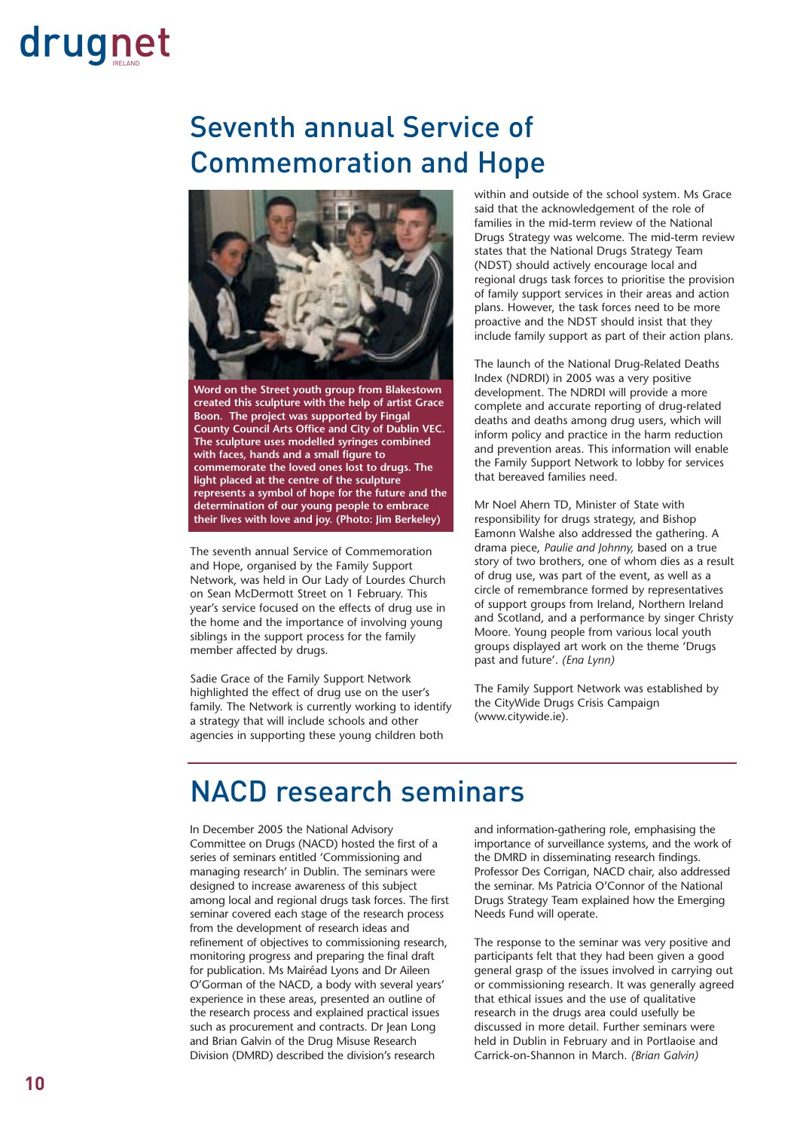### Seventh annual Service of Commemoration and Hope



**Word on the Street youth group from Blakestown created this sculpture with the help of artist Grace Boon. The project was supported by Fingal County Council Arts Office and City of Dublin VEC. The sculpture uses modelled syringes combined with faces, hands and a small figure to commemorate the loved ones lost to drugs. The light placed at the centre of the sculpture represents a symbol of hope for the future and the determination of our young people to embrace their lives with love and joy. (Photo: Jim Berkeley)**

The seventh annual Service of Commemoration and Hope, organised by the Family Support Network, was held in Our Lady of Lourdes Church on Sean McDermott Street on 1 February. This year's service focused on the effects of drug use in the home and the importance of involving young siblings in the support process for the family member affected by drugs.

Sadie Grace of the Family Support Network highlighted the effect of drug use on the user's family. The Network is currently working to identify a strategy that will include schools and other agencies in supporting these young children both

within and outside of the school system. Ms Grace said that the acknowledgement of the role of families in the mid-term review of the National Drugs Strategy was welcome. The mid-term review states that the National Drugs Strategy Team (NDST) should actively encourage local and regional drugs task forces to prioritise the provision of family support services in their areas and action plans. However, the task forces need to be more proactive and the NDST should insist that they include family support as part of their action plans.

The launch of the National Drug-Related Deaths Index (NDRDI) in 2005 was a very positive development. The NDRDI will provide a more complete and accurate reporting of drug-related deaths and deaths among drug users, which will inform policy and practice in the harm reduction and prevention areas. This information will enable the Family Support Network to lobby for services that bereaved families need.

Mr Noel Ahern TD, Minister of State with responsibility for drugs strategy, and Bishop Eamonn Walshe also addressed the gathering. A drama piece, *Paulie and Johnny,* based on a true story of two brothers, one of whom dies as a result of drug use, was part of the event, as well as a circle of remembrance formed by representatives of support groups from Ireland, Northern Ireland and Scotland, and a performance by singer Christy Moore. Young people from various local youth groups displayed art work on the theme 'Drugs past and future'. *(Ena Lynn)*

The Family Support Network was established by the CityWide Drugs Crisis Campaign (www.citywide.ie).

### NACD research seminars

In December 2005 the National Advisory Committee on Drugs (NACD) hosted the first of a series of seminars entitled 'Commissioning and managing research' in Dublin. The seminars were designed to increase awareness of this subject among local and regional drugs task forces. The first seminar covered each stage of the research process from the development of research ideas and refinement of objectives to commissioning research, monitoring progress and preparing the final draft for publication. Ms Mairéad Lyons and Dr Aileen O'Gorman of the NACD, a body with several years' experience in these areas, presented an outline of the research process and explained practical issues such as procurement and contracts. Dr Jean Long and Brian Galvin of the Drug Misuse Research Division (DMRD) described the division's research

and information-gathering role, emphasising the importance of surveillance systems, and the work of the DMRD in disseminating research findings. Professor Des Corrigan, NACD chair, also addressed the seminar. Ms Patricia O'Connor of the National Drugs Strategy Team explained how the Emerging Needs Fund will operate.

The response to the seminar was very positive and participants felt that they had been given a good general grasp of the issues involved in carrying out or commissioning research. It was generally agreed that ethical issues and the use of qualitative research in the drugs area could usefully be discussed in more detail. Further seminars were held in Dublin in February and in Portlaoise and Carrick-on-Shannon in March. *(Brian Galvin)*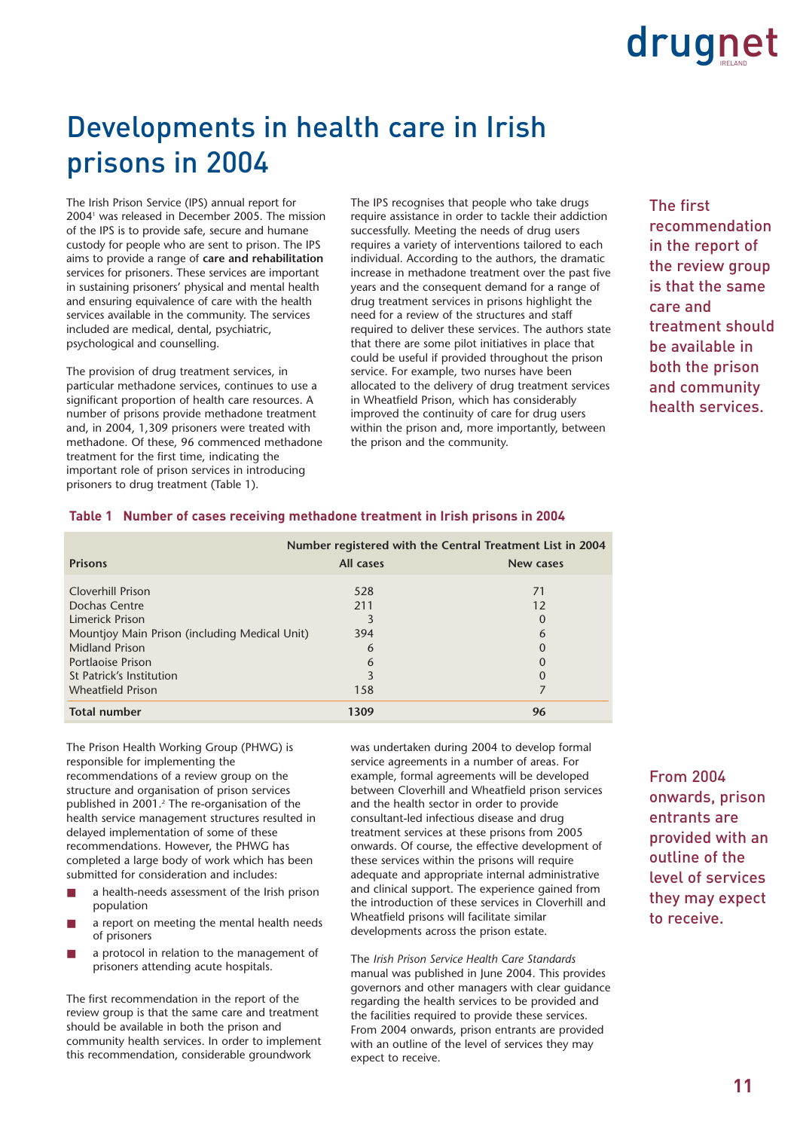### Developments in health care in Irish prisons in 2004

The Irish Prison Service (IPS) annual report for 20041 was released in December 2005. The mission of the IPS is to provide safe, secure and humane custody for people who are sent to prison. The IPS aims to provide a range of **care and rehabilitation** services for prisoners. These services are important in sustaining prisoners' physical and mental health and ensuring equivalence of care with the health services available in the community. The services included are medical, dental, psychiatric, psychological and counselling.

The provision of drug treatment services, in particular methadone services, continues to use a significant proportion of health care resources. A number of prisons provide methadone treatment and, in 2004, 1,309 prisoners were treated with methadone. Of these, 96 commenced methadone treatment for the first time, indicating the important role of prison services in introducing prisoners to drug treatment (Table 1).

The IPS recognises that people who take drugs require assistance in order to tackle their addiction successfully. Meeting the needs of drug users requires a variety of interventions tailored to each individual. According to the authors, the dramatic increase in methadone treatment over the past five years and the consequent demand for a range of drug treatment services in prisons highlight the need for a review of the structures and staff required to deliver these services. The authors state that there are some pilot initiatives in place that could be useful if provided throughout the prison service. For example, two nurses have been allocated to the delivery of drug treatment services in Wheatfield Prison, which has considerably improved the continuity of care for drug users within the prison and, more importantly, between the prison and the community.

The first recommendation in the report of the review group is that the same care and treatment should be available in both the prison and community health services.

|                                                                        | Number registered with the Central Treatment List in 2004 |                      |  |
|------------------------------------------------------------------------|-----------------------------------------------------------|----------------------|--|
| <b>Prisons</b>                                                         | All cases                                                 | <b>New cases</b>     |  |
| Cloverhill Prison                                                      | 528                                                       | 71                   |  |
| Dochas Centre<br>Limerick Prison                                       | 211                                                       | 12<br>0              |  |
| Mountjoy Main Prison (including Medical Unit)<br><b>Midland Prison</b> | 394<br>6                                                  | 6<br>$\Omega$        |  |
| Portlaoise Prison<br>St Patrick's Institution                          | 6                                                         | $\Omega$<br>$\Omega$ |  |
| <b>Wheatfield Prison</b>                                               | 158                                                       |                      |  |
| <b>Total number</b>                                                    | 1309                                                      | 96                   |  |

### **Table 1 Number of cases receiving methadone treatment in Irish prisons in 2004**

The Prison Health Working Group (PHWG) is responsible for implementing the recommendations of a review group on the structure and organisation of prison services published in 2001.<sup>2</sup> The re-organisation of the health service management structures resulted in delayed implementation of some of these recommendations. However, the PHWG has completed a large body of work which has been submitted for consideration and includes:

- a health-needs assessment of the Irish prison population
- a report on meeting the mental health needs of prisoners
- a protocol in relation to the management of prisoners attending acute hospitals.

The first recommendation in the report of the review group is that the same care and treatment should be available in both the prison and community health services. In order to implement this recommendation, considerable groundwork

was undertaken during 2004 to develop formal service agreements in a number of areas. For example, formal agreements will be developed between Cloverhill and Wheatfield prison services and the health sector in order to provide consultant-led infectious disease and drug treatment services at these prisons from 2005 onwards. Of course, the effective development of these services within the prisons will require adequate and appropriate internal administrative and clinical support. The experience gained from the introduction of these services in Cloverhill and Wheatfield prisons will facilitate similar developments across the prison estate.

The *Irish Prison Service Health Care Standards* manual was published in June 2004. This provides governors and other managers with clear guidance regarding the health services to be provided and the facilities required to provide these services. From 2004 onwards, prison entrants are provided with an outline of the level of services they may expect to receive.

From 2004 onwards, prison entrants are provided with an outline of the level of services they may expect to receive.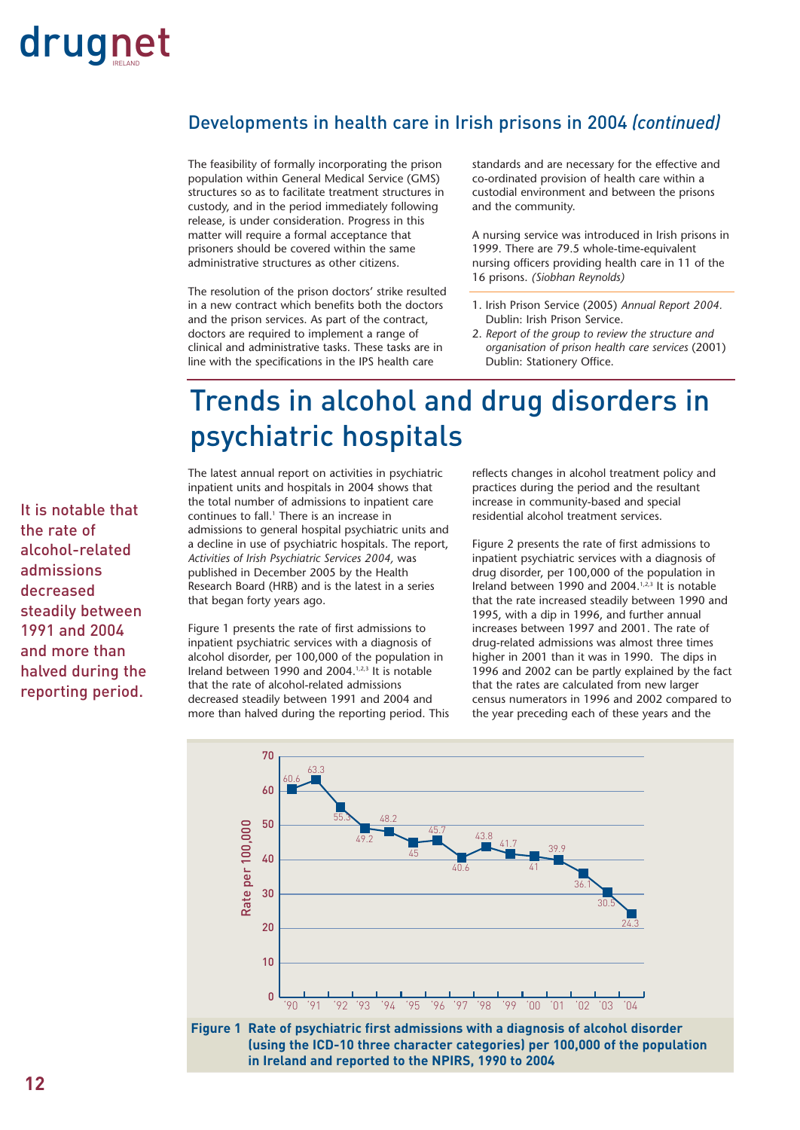### Developments in health care in Irish prisons in 2004 *(continued)*

The feasibility of formally incorporating the prison population within General Medical Service (GMS) structures so as to facilitate treatment structures in custody, and in the period immediately following release, is under consideration. Progress in this matter will require a formal acceptance that prisoners should be covered within the same administrative structures as other citizens.

The resolution of the prison doctors' strike resulted in a new contract which benefits both the doctors and the prison services. As part of the contract, doctors are required to implement a range of clinical and administrative tasks. These tasks are in line with the specifications in the IPS health care

standards and are necessary for the effective and co-ordinated provision of health care within a custodial environment and between the prisons and the community.

A nursing service was introduced in Irish prisons in 1999. There are 79.5 whole-time-equivalent nursing officers providing health care in 11 of the 16 prisons. *(Siobhan Reynolds)*

- 1. Irish Prison Service (2005) *Annual Report 2004.* Dublin: Irish Prison Service.
- 2. *Report of the group to review the structure and organisation of prison health care services* (2001) Dublin: Stationery Office.

### Trends in alcohol and drug disorders in psychiatric hospitals

It is notable that the rate of alcohol-related admissions decreased steadily between 1991 and 2004 and more than halved during the reporting period.

The latest annual report on activities in psychiatric inpatient units and hospitals in 2004 shows that the total number of admissions to inpatient care continues to fall.<sup>1</sup> There is an increase in admissions to general hospital psychiatric units and a decline in use of psychiatric hospitals. The report, *Activities of Irish Psychiatric Services 2004,* was published in December 2005 by the Health Research Board (HRB) and is the latest in a series that began forty years ago.

Figure 1 presents the rate of first admissions to inpatient psychiatric services with a diagnosis of alcohol disorder, per 100,000 of the population in Ireland between 1990 and 2004.<sup>1,2,3</sup> It is notable that the rate of alcohol-related admissions decreased steadily between 1991 and 2004 and more than halved during the reporting period. This reflects changes in alcohol treatment policy and practices during the period and the resultant increase in community-based and special residential alcohol treatment services.

Figure 2 presents the rate of first admissions to inpatient psychiatric services with a diagnosis of drug disorder, per 100,000 of the population in Ireland between 1990 and 2004.<sup>1,2,3</sup> It is notable that the rate increased steadily between 1990 and 1995, with a dip in 1996, and further annual increases between 1997 and 2001. The rate of drug-related admissions was almost three times higher in 2001 than it was in 1990. The dips in 1996 and 2002 can be partly explained by the fact that the rates are calculated from new larger census numerators in 1996 and 2002 compared to the year preceding each of these years and the



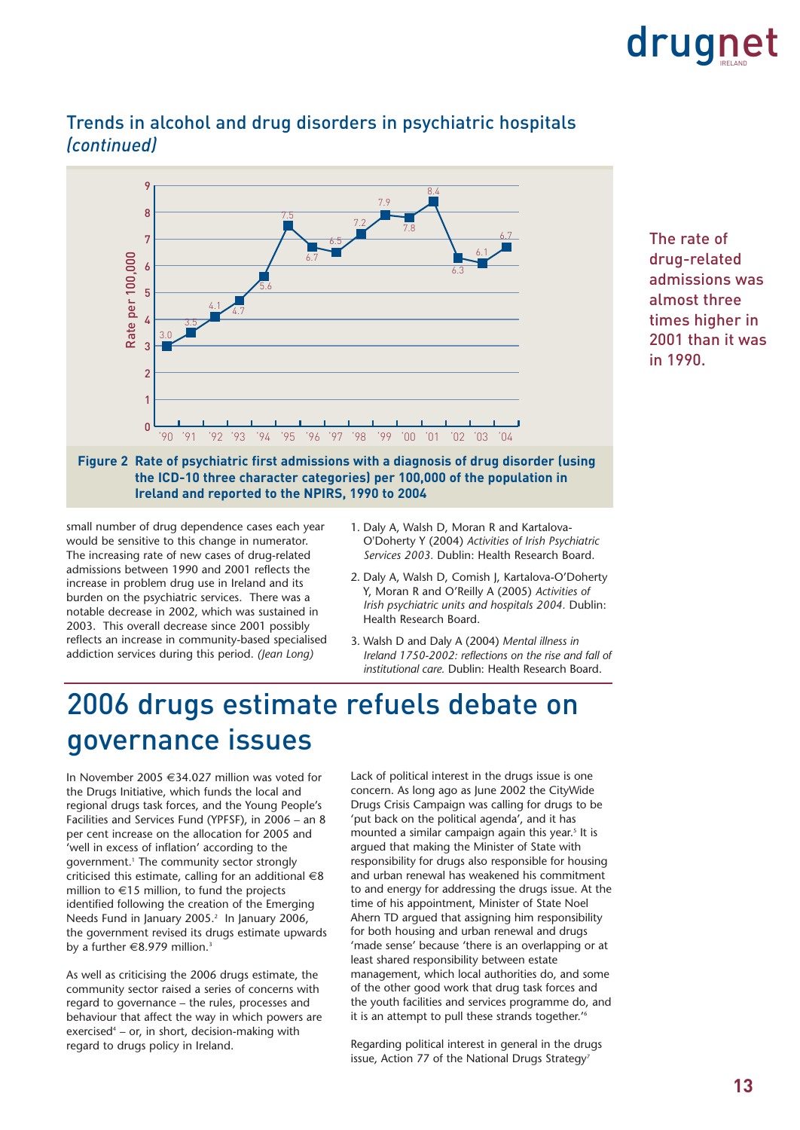



### Trends in alcohol and drug disorders in psychiatric hospitals *(continued)*



small number of drug dependence cases each year would be sensitive to this change in numerator. The increasing rate of new cases of drug-related admissions between 1990 and 2001 reflects the increase in problem drug use in Ireland and its burden on the psychiatric services. There was a notable decrease in 2002, which was sustained in 2003. This overall decrease since 2001 possibly reflects an increase in community-based specialised addiction services during this period. *(Jean Long)*

- 1. Daly A, Walsh D, Moran R and Kartalova-O'Doherty Y (2004) *Activities of Irish Psychiatric Services 2003.* Dublin: Health Research Board.
- 2. Daly A, Walsh D, Comish J, Kartalova-O'Doherty Y, Moran R and O'Reilly A (2005) *Activities of Irish psychiatric units and hospitals 2004.* Dublin: Health Research Board.
- 3. Walsh D and Daly A (2004) *Mental illness in Ireland 1750-2002: reflections on the rise and fall of institutional care.* Dublin: Health Research Board.

### 2006 drugs estimate refuels debate on governance issues

In November 2005 €34.027 million was voted for the Drugs Initiative, which funds the local and regional drugs task forces, and the Young People's Facilities and Services Fund (YPFSF), in 2006 – an 8 per cent increase on the allocation for 2005 and 'well in excess of inflation' according to the government.<sup>1</sup> The community sector strongly criticised this estimate, calling for an additional  $\in$ 8 million to €15 million, to fund the projects identified following the creation of the Emerging Needs Fund in January 2005.<sup>2</sup> In January 2006, the government revised its drugs estimate upwards by a further €8.979 million.<sup>3</sup>

As well as criticising the 2006 drugs estimate, the community sector raised a series of concerns with regard to governance – the rules, processes and behaviour that affect the way in which powers are exercised $4$  – or, in short, decision-making with regard to drugs policy in Ireland.

Lack of political interest in the drugs issue is one concern. As long ago as June 2002 the CityWide Drugs Crisis Campaign was calling for drugs to be 'put back on the political agenda', and it has mounted a similar campaign again this year.<sup>5</sup> It is argued that making the Minister of State with responsibility for drugs also responsible for housing and urban renewal has weakened his commitment to and energy for addressing the drugs issue. At the time of his appointment, Minister of State Noel Ahern TD argued that assigning him responsibility for both housing and urban renewal and drugs 'made sense' because 'there is an overlapping or at least shared responsibility between estate management, which local authorities do, and some of the other good work that drug task forces and the youth facilities and services programme do, and it is an attempt to pull these strands together.'6

Regarding political interest in general in the drugs issue, Action 77 of the National Drugs Strategy<sup>7</sup>

The rate of drug-related admissions was almost three times higher in 2001 than it was in 1990.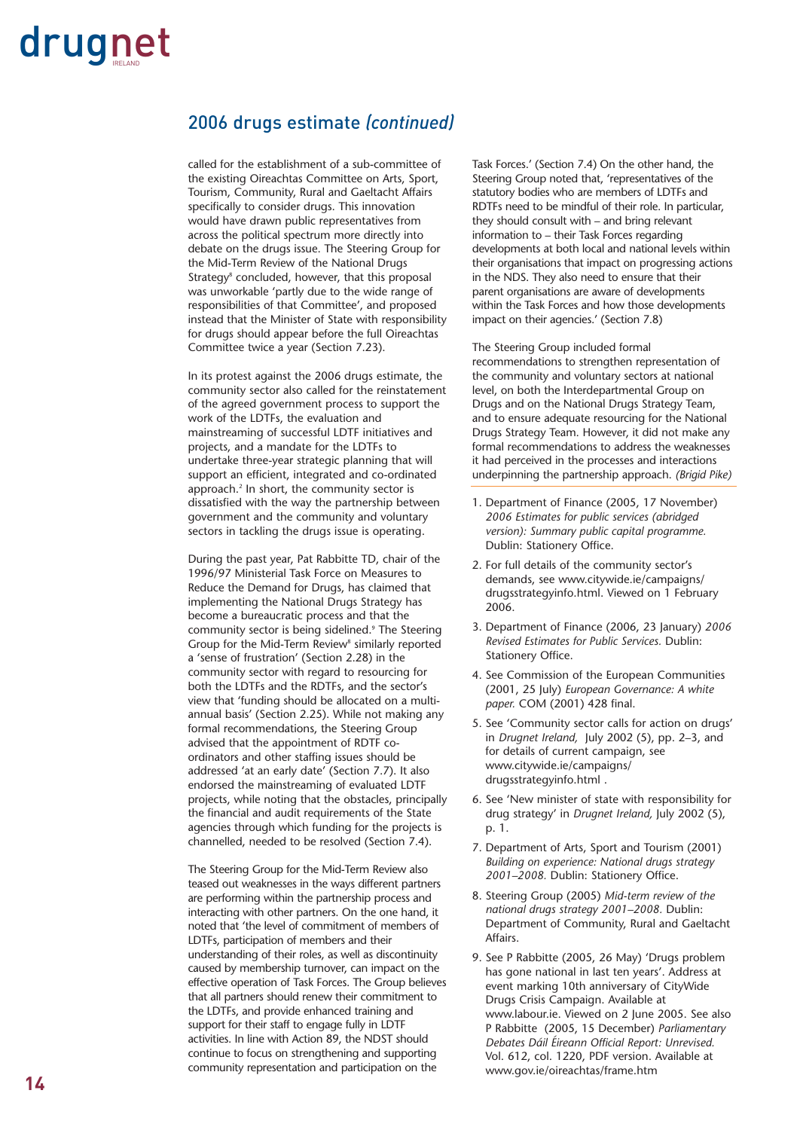### 2006 drugs estimate *(continued)*

called for the establishment of a sub-committee of the existing Oireachtas Committee on Arts, Sport, Tourism, Community, Rural and Gaeltacht Affairs specifically to consider drugs. This innovation would have drawn public representatives from across the political spectrum more directly into debate on the drugs issue. The Steering Group for the Mid-Term Review of the National Drugs Strategy<sup>8</sup> concluded, however, that this proposal was unworkable 'partly due to the wide range of responsibilities of that Committee', and proposed instead that the Minister of State with responsibility for drugs should appear before the full Oireachtas Committee twice a year (Section 7.23).

In its protest against the 2006 drugs estimate, the community sector also called for the reinstatement of the agreed government process to support the work of the LDTFs, the evaluation and mainstreaming of successful LDTF initiatives and projects, and a mandate for the LDTFs to undertake three-year strategic planning that will support an efficient, integrated and co-ordinated approach.<sup>2</sup> In short, the community sector is dissatisfied with the way the partnership between government and the community and voluntary sectors in tackling the drugs issue is operating.

During the past year, Pat Rabbitte TD, chair of the 1996/97 Ministerial Task Force on Measures to Reduce the Demand for Drugs, has claimed that implementing the National Drugs Strategy has become a bureaucratic process and that the community sector is being sidelined.9 The Steering Group for the Mid-Term Review<sup>8</sup> similarly reported a 'sense of frustration' (Section 2.28) in the community sector with regard to resourcing for both the LDTFs and the RDTFs, and the sector's view that 'funding should be allocated on a multiannual basis' (Section 2.25). While not making any formal recommendations, the Steering Group advised that the appointment of RDTF coordinators and other staffing issues should be addressed 'at an early date' (Section 7.7). It also endorsed the mainstreaming of evaluated LDTF projects, while noting that the obstacles, principally the financial and audit requirements of the State agencies through which funding for the projects is channelled, needed to be resolved (Section 7.4).

The Steering Group for the Mid-Term Review also teased out weaknesses in the ways different partners are performing within the partnership process and interacting with other partners. On the one hand, it noted that 'the level of commitment of members of LDTFs, participation of members and their understanding of their roles, as well as discontinuity caused by membership turnover, can impact on the effective operation of Task Forces. The Group believes that all partners should renew their commitment to the LDTFs, and provide enhanced training and support for their staff to engage fully in LDTF activities. In line with Action 89, the NDST should continue to focus on strengthening and supporting community representation and participation on the

Task Forces.' (Section 7.4) On the other hand, the Steering Group noted that, 'representatives of the statutory bodies who are members of LDTFs and RDTFs need to be mindful of their role. In particular, they should consult with – and bring relevant information to – their Task Forces regarding developments at both local and national levels within their organisations that impact on progressing actions in the NDS. They also need to ensure that their parent organisations are aware of developments within the Task Forces and how those developments impact on their agencies.' (Section 7.8)

The Steering Group included formal recommendations to strengthen representation of the community and voluntary sectors at national level, on both the Interdepartmental Group on Drugs and on the National Drugs Strategy Team, and to ensure adequate resourcing for the National Drugs Strategy Team. However, it did not make any formal recommendations to address the weaknesses it had perceived in the processes and interactions underpinning the partnership approach. *(Brigid Pike)* 

- 1. Department of Finance (2005, 17 November) *2006 Estimates for public services (abridged version): Summary public capital programme.* Dublin: Stationery Office.
- 2. For full details of the community sector's demands, see www.citywide.ie/campaigns/ drugsstrategyinfo.html. Viewed on 1 February 2006.
- 3. Department of Finance (2006, 23 January) *2006 Revised Estimates for Public Services.* Dublin: Stationery Office.
- 4. See Commission of the European Communities (2001, 25 July) *European Governance: A white paper.* COM (2001) 428 final.
- 5. See 'Community sector calls for action on drugs' in *Drugnet Ireland,* July 2002 (5), pp. 2–3, and for details of current campaign, see www.citywide.ie/campaigns/ drugsstrategyinfo.html .
- 6. See 'New minister of state with responsibility for drug strategy' in *Drugnet Ireland,* July 2002 (5), p. 1.
- 7. Department of Arts, Sport and Tourism (2001) *Building on experience: National drugs strategy 2001–2008.* Dublin: Stationery Office.
- 8. Steering Group (2005) *Mid-term review of the national drugs strategy 2001–2008.* Dublin: Department of Community, Rural and Gaeltacht Affairs.
- 9. See P Rabbitte (2005, 26 May) 'Drugs problem has gone national in last ten years'. Address at event marking 10th anniversary of CityWide Drugs Crisis Campaign. Available at www.labour.ie. Viewed on 2 June 2005. See also P Rabbitte (2005, 15 December) *Parliamentary Debates Dáil Éireann Official Report: Unrevised.* Vol. 612, col. 1220, PDF version. Available at www.gov.ie/oireachtas/frame.htm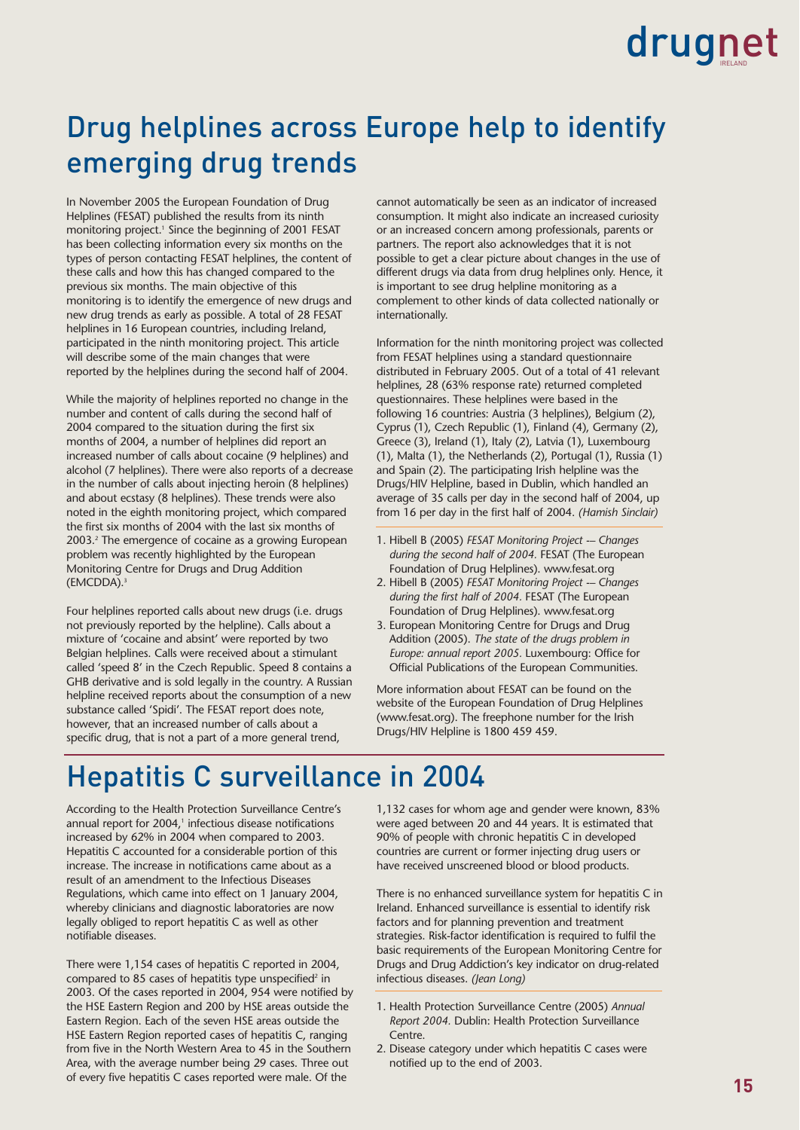### Drug helplines across Europe help to identify emerging drug trends

In November 2005 the European Foundation of Drug Helplines (FESAT) published the results from its ninth monitoring project.<sup>1</sup> Since the beginning of 2001 FESAT has been collecting information every six months on the types of person contacting FESAT helplines, the content of these calls and how this has changed compared to the previous six months. The main objective of this monitoring is to identify the emergence of new drugs and new drug trends as early as possible. A total of 28 FESAT helplines in 16 European countries, including Ireland, participated in the ninth monitoring project. This article will describe some of the main changes that were reported by the helplines during the second half of 2004.

While the majority of helplines reported no change in the number and content of calls during the second half of 2004 compared to the situation during the first six months of 2004, a number of helplines did report an increased number of calls about cocaine (9 helplines) and alcohol (7 helplines). There were also reports of a decrease in the number of calls about injecting heroin (8 helplines) and about ecstasy (8 helplines). These trends were also noted in the eighth monitoring project, which compared the first six months of 2004 with the last six months of 2003.2 The emergence of cocaine as a growing European problem was recently highlighted by the European Monitoring Centre for Drugs and Drug Addition (EMCDDA).3

Four helplines reported calls about new drugs (i.e. drugs not previously reported by the helpline). Calls about a mixture of 'cocaine and absint' were reported by two Belgian helplines. Calls were received about a stimulant called 'speed 8' in the Czech Republic. Speed 8 contains a GHB derivative and is sold legally in the country. A Russian helpline received reports about the consumption of a new substance called 'Spidi'. The FESAT report does note, however, that an increased number of calls about a specific drug, that is not a part of a more general trend,

cannot automatically be seen as an indicator of increased consumption. It might also indicate an increased curiosity or an increased concern among professionals, parents or partners. The report also acknowledges that it is not possible to get a clear picture about changes in the use of different drugs via data from drug helplines only. Hence, it is important to see drug helpline monitoring as a complement to other kinds of data collected nationally or internationally.

Information for the ninth monitoring project was collected from FESAT helplines using a standard questionnaire distributed in February 2005. Out of a total of 41 relevant helplines, 28 (63% response rate) returned completed questionnaires. These helplines were based in the following 16 countries: Austria (3 helplines), Belgium (2), Cyprus (1), Czech Republic (1), Finland (4), Germany (2), Greece (3), Ireland (1), Italy (2), Latvia (1), Luxembourg (1), Malta (1), the Netherlands (2), Portugal (1), Russia (1) and Spain (2). The participating Irish helpline was the Drugs/HIV Helpline, based in Dublin, which handled an average of 35 calls per day in the second half of 2004, up from 16 per day in the first half of 2004. *(Hamish Sinclair)*

- 1. Hibell B (2005) *FESAT Monitoring Project -– Changes during the second half of 2004.* FESAT (The European Foundation of Drug Helplines). www.fesat.org
- 2. Hibell B (2005) *FESAT Monitoring Project -– Changes during the first half of 2004.* FESAT (The European Foundation of Drug Helplines). www.fesat.org
- 3. European Monitoring Centre for Drugs and Drug Addition (2005). *The state of the drugs problem in Europe: annual report 2005.* Luxembourg: Office for Official Publications of the European Communities.

More information about FESAT can be found on the website of the European Foundation of Drug Helplines (www.fesat.org). The freephone number for the Irish Drugs/HIV Helpline is 1800 459 459.

### Hepatitis C surveillance in 2004

According to the Health Protection Surveillance Centre's annual report for 2004,<sup>1</sup> infectious disease notifications increased by 62% in 2004 when compared to 2003. Hepatitis C accounted for a considerable portion of this increase. The increase in notifications came about as a result of an amendment to the Infectious Diseases Regulations, which came into effect on 1 January 2004, whereby clinicians and diagnostic laboratories are now legally obliged to report hepatitis C as well as other notifiable diseases.

There were 1,154 cases of hepatitis C reported in 2004, compared to 85 cases of hepatitis type unspecified<sup>2</sup> in 2003. Of the cases reported in 2004, 954 were notified by the HSE Eastern Region and 200 by HSE areas outside the Eastern Region. Each of the seven HSE areas outside the HSE Eastern Region reported cases of hepatitis C, ranging from five in the North Western Area to 45 in the Southern Area, with the average number being 29 cases. Three out of every five hepatitis C cases reported were male. Of the

1,132 cases for whom age and gender were known, 83% were aged between 20 and 44 years. It is estimated that 90% of people with chronic hepatitis C in developed countries are current or former injecting drug users or have received unscreened blood or blood products.

There is no enhanced surveillance system for hepatitis C in Ireland. Enhanced surveillance is essential to identify risk factors and for planning prevention and treatment strategies. Risk-factor identification is required to fulfil the basic requirements of the European Monitoring Centre for Drugs and Drug Addiction's key indicator on drug-related infectious diseases. *(Jean Long)*

- 1. Health Protection Surveillance Centre (2005) *Annual Report 2004.* Dublin: Health Protection Surveillance Centre.
- 2. Disease category under which hepatitis C cases were notified up to the end of 2003.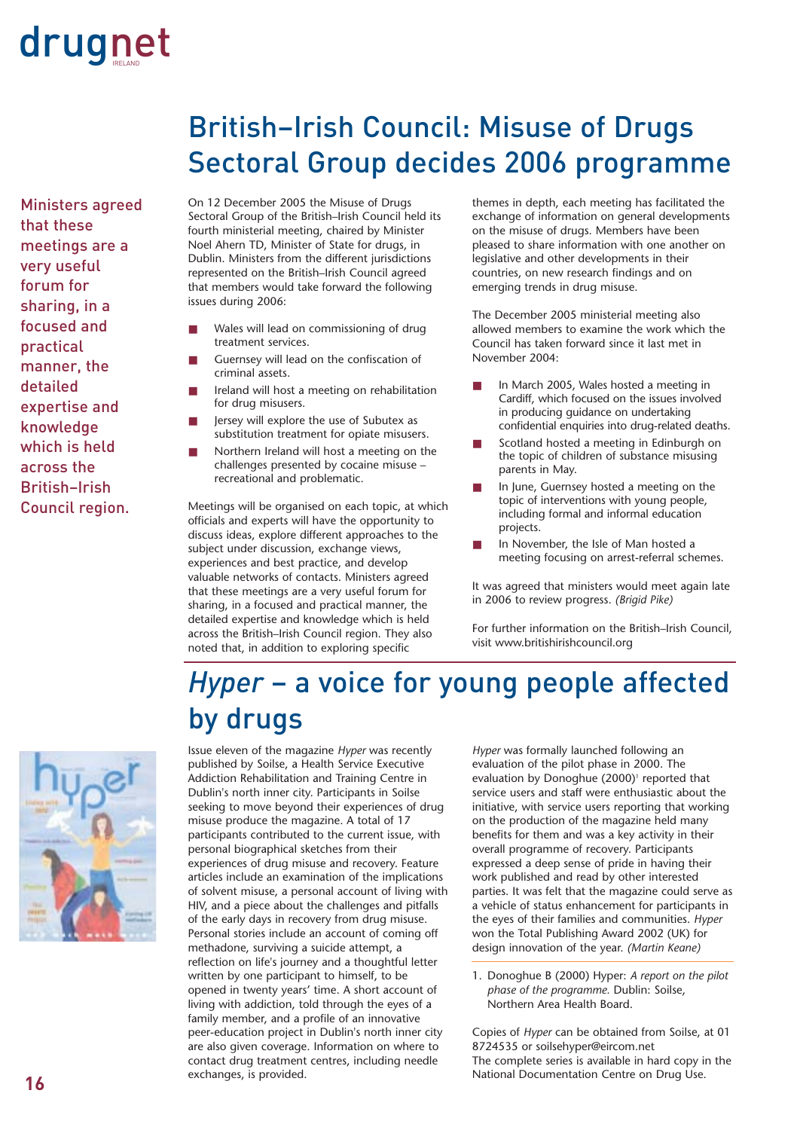Ministers agreed that these meetings are a very useful forum for sharing, in a focused and practical manner, the detailed expertise and knowledge which is held across the British–Irish Council region.

### British–Irish Council: Misuse of Drugs Sectoral Group decides 2006 programme

On 12 December 2005 the Misuse of Drugs Sectoral Group of the British–Irish Council held its fourth ministerial meeting, chaired by Minister Noel Ahern TD, Minister of State for drugs, in Dublin. Ministers from the different jurisdictions represented on the British–Irish Council agreed that members would take forward the following issues during 2006:

- Wales will lead on commissioning of drug treatment services.
- Guernsey will lead on the confiscation of criminal assets.
- Ireland will host a meeting on rehabilitation for drug misusers.
- Jersey will explore the use of Subutex as substitution treatment for opiate misusers.
- Northern Ireland will host a meeting on the challenges presented by cocaine misuse – recreational and problematic.

Meetings will be organised on each topic, at which officials and experts will have the opportunity to discuss ideas, explore different approaches to the subject under discussion, exchange views, experiences and best practice, and develop valuable networks of contacts. Ministers agreed that these meetings are a very useful forum for sharing, in a focused and practical manner, the detailed expertise and knowledge which is held across the British–Irish Council region. They also noted that, in addition to exploring specific

themes in depth, each meeting has facilitated the exchange of information on general developments on the misuse of drugs. Members have been pleased to share information with one another on legislative and other developments in their countries, on new research findings and on emerging trends in drug misuse.

The December 2005 ministerial meeting also allowed members to examine the work which the Council has taken forward since it last met in November 2004:

- In March 2005, Wales hosted a meeting in Cardiff, which focused on the issues involved in producing guidance on undertaking confidential enquiries into drug-related deaths.
- Scotland hosted a meeting in Edinburgh on the topic of children of substance misusing parents in May.
- In June, Guernsey hosted a meeting on the topic of interventions with young people, including formal and informal education projects.
- In November, the Isle of Man hosted a meeting focusing on arrest-referral schemes.

It was agreed that ministers would meet again late in 2006 to review progress. *(Brigid Pike)*

For further information on the British–Irish Council, visit www.britishirishcouncil.org

### *Hyper* – a voice for young people affected by drugs



Issue eleven of the magazine *Hyper* was recently published by Soilse, a Health Service Executive Addiction Rehabilitation and Training Centre in Dublin's north inner city. Participants in Soilse seeking to move beyond their experiences of drug misuse produce the magazine. A total of 17 participants contributed to the current issue, with personal biographical sketches from their experiences of drug misuse and recovery. Feature articles include an examination of the implications of solvent misuse, a personal account of living with HIV, and a piece about the challenges and pitfalls of the early days in recovery from drug misuse. Personal stories include an account of coming off methadone, surviving a suicide attempt, a reflection on life's journey and a thoughtful letter written by one participant to himself, to be opened in twenty years' time. A short account of living with addiction, told through the eyes of a family member, and a profile of an innovative peer-education project in Dublin's north inner city are also given coverage. Information on where to contact drug treatment centres, including needle exchanges, is provided.

*Hyper* was formally launched following an evaluation of the pilot phase in 2000. The evaluation by Donoghue (2000)<sup>1</sup> reported that service users and staff were enthusiastic about the initiative, with service users reporting that working on the production of the magazine held many benefits for them and was a key activity in their overall programme of recovery. Participants expressed a deep sense of pride in having their work published and read by other interested parties. It was felt that the magazine could serve as a vehicle of status enhancement for participants in the eyes of their families and communities. *Hyper* won the Total Publishing Award 2002 (UK) for design innovation of the year. *(Martin Keane)*

1. Donoghue B (2000) Hyper: *A report on the pilot phase of the programme.* Dublin: Soilse, Northern Area Health Board.

Copies of *Hyper* can be obtained from Soilse, at 01 8724535 or soilsehyper@eircom.net The complete series is available in hard copy in the National Documentation Centre on Drug Use.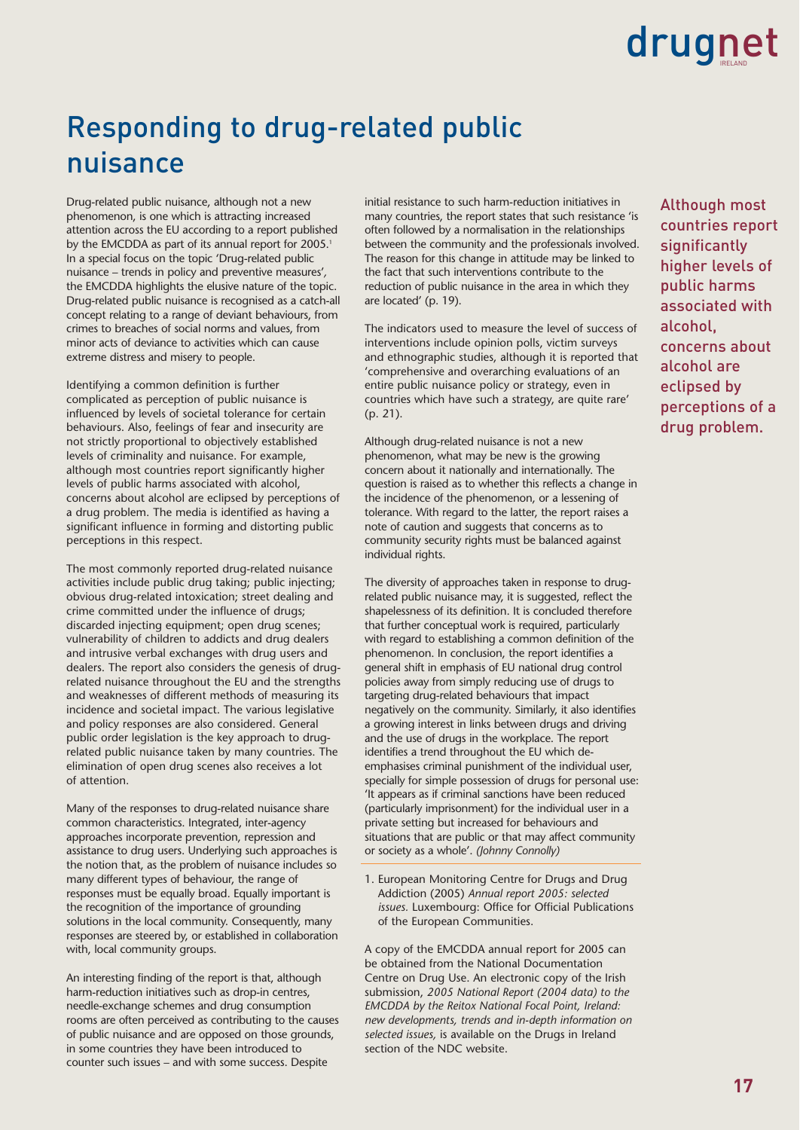### Responding to drug-related public nuisance

Drug-related public nuisance, although not a new phenomenon, is one which is attracting increased attention across the EU according to a report published by the EMCDDA as part of its annual report for 2005.<sup>1</sup> In a special focus on the topic 'Drug-related public nuisance – trends in policy and preventive measures'*,* the EMCDDA highlights the elusive nature of the topic. Drug-related public nuisance is recognised as a catch-all concept relating to a range of deviant behaviours, from crimes to breaches of social norms and values, from minor acts of deviance to activities which can cause extreme distress and misery to people.

Identifying a common definition is further complicated as perception of public nuisance is influenced by levels of societal tolerance for certain behaviours. Also, feelings of fear and insecurity are not strictly proportional to objectively established levels of criminality and nuisance. For example, although most countries report significantly higher levels of public harms associated with alcohol, concerns about alcohol are eclipsed by perceptions of a drug problem. The media is identified as having a significant influence in forming and distorting public perceptions in this respect.

The most commonly reported drug-related nuisance activities include public drug taking; public injecting; obvious drug-related intoxication; street dealing and crime committed under the influence of drugs; discarded injecting equipment; open drug scenes; vulnerability of children to addicts and drug dealers and intrusive verbal exchanges with drug users and dealers. The report also considers the genesis of drugrelated nuisance throughout the EU and the strengths and weaknesses of different methods of measuring its incidence and societal impact. The various legislative and policy responses are also considered. General public order legislation is the key approach to drugrelated public nuisance taken by many countries. The elimination of open drug scenes also receives a lot of attention.

Many of the responses to drug-related nuisance share common characteristics. Integrated, inter-agency approaches incorporate prevention, repression and assistance to drug users. Underlying such approaches is the notion that, as the problem of nuisance includes so many different types of behaviour, the range of responses must be equally broad. Equally important is the recognition of the importance of grounding solutions in the local community. Consequently, many responses are steered by, or established in collaboration with, local community groups.

An interesting finding of the report is that, although harm-reduction initiatives such as drop-in centres, needle-exchange schemes and drug consumption rooms are often perceived as contributing to the causes of public nuisance and are opposed on those grounds, in some countries they have been introduced to counter such issues – and with some success. Despite

initial resistance to such harm-reduction initiatives in many countries, the report states that such resistance 'is often followed by a normalisation in the relationships between the community and the professionals involved. The reason for this change in attitude may be linked to the fact that such interventions contribute to the reduction of public nuisance in the area in which they are located' (p. 19).

The indicators used to measure the level of success of interventions include opinion polls, victim surveys and ethnographic studies, although it is reported that 'comprehensive and overarching evaluations of an entire public nuisance policy or strategy, even in countries which have such a strategy, are quite rare' (p. 21).

Although drug-related nuisance is not a new phenomenon, what may be new is the growing concern about it nationally and internationally. The question is raised as to whether this reflects a change in the incidence of the phenomenon, or a lessening of tolerance. With regard to the latter, the report raises a note of caution and suggests that concerns as to community security rights must be balanced against individual rights.

The diversity of approaches taken in response to drugrelated public nuisance may, it is suggested, reflect the shapelessness of its definition. It is concluded therefore that further conceptual work is required, particularly with regard to establishing a common definition of the phenomenon. In conclusion, the report identifies a general shift in emphasis of EU national drug control policies away from simply reducing use of drugs to targeting drug-related behaviours that impact negatively on the community. Similarly, it also identifies a growing interest in links between drugs and driving and the use of drugs in the workplace. The report identifies a trend throughout the EU which deemphasises criminal punishment of the individual user, specially for simple possession of drugs for personal use: 'It appears as if criminal sanctions have been reduced (particularly imprisonment) for the individual user in a private setting but increased for behaviours and situations that are public or that may affect community or society as a whole'. *(Johnny Connolly)*

1. European Monitoring Centre for Drugs and Drug Addiction (2005) *Annual report 2005: selected issues.* Luxembourg: Office for Official Publications of the European Communities.

A copy of the EMCDDA annual report for 2005 can be obtained from the National Documentation Centre on Drug Use. An electronic copy of the Irish submission, *2005 National Report (2004 data) to the EMCDDA by the Reitox National Focal Point, Ireland: new developments, trends and in-depth information on selected issues,* is available on the Drugs in Ireland section of the NDC website.

Although most countries report significantly higher levels of public harms associated with alcohol, concerns about alcohol are eclipsed by perceptions of a drug problem.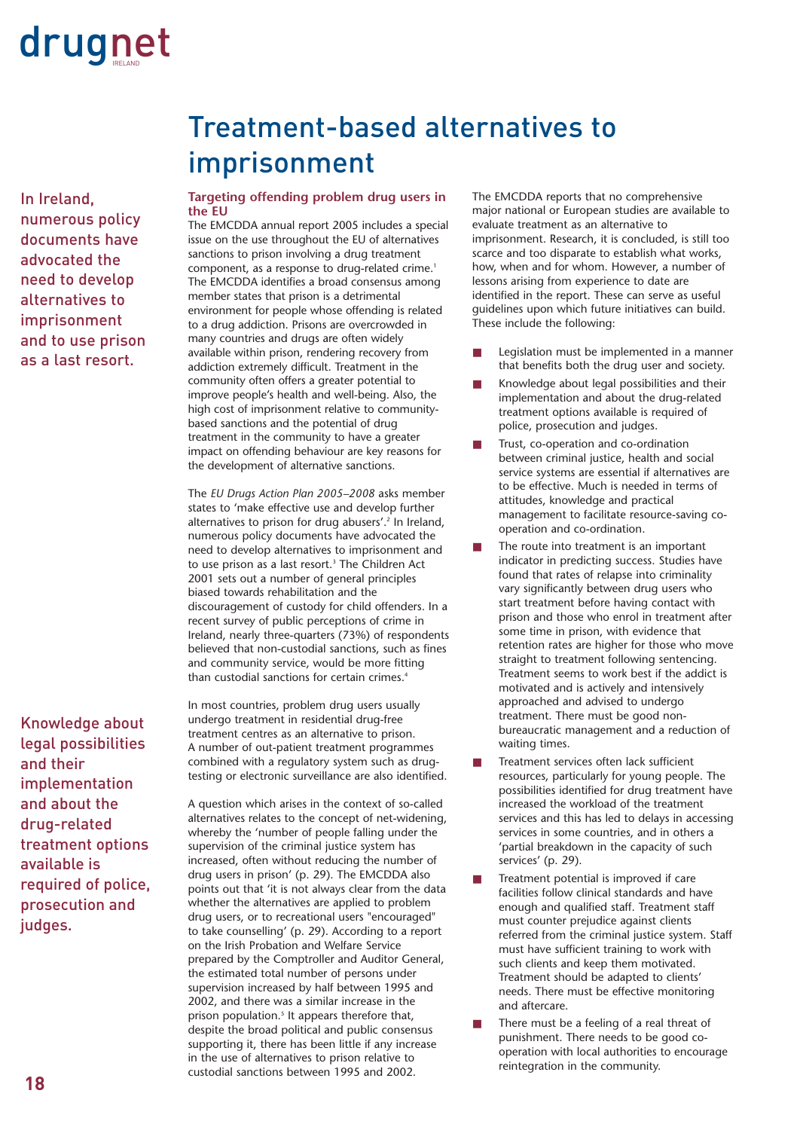In Ireland, numerous policy documents have advocated the need to develop alternatives to imprisonment and to use prison as a last resort.

Knowledge about legal possibilities and their implementation and about the drug-related treatment options available is required of police, prosecution and judges.

### Treatment-based alternatives to imprisonment

### **Targeting offending problem drug users in the EU**

The EMCDDA annual report 2005 includes a special issue on the use throughout the EU of alternatives sanctions to prison involving a drug treatment component, as a response to drug-related crime.<sup>1</sup> The EMCDDA identifies a broad consensus among member states that prison is a detrimental environment for people whose offending is related to a drug addiction. Prisons are overcrowded in many countries and drugs are often widely available within prison, rendering recovery from addiction extremely difficult. Treatment in the community often offers a greater potential to improve people's health and well-being. Also, the high cost of imprisonment relative to communitybased sanctions and the potential of drug treatment in the community to have a greater impact on offending behaviour are key reasons for the development of alternative sanctions.

The *EU Drugs Action Plan 2005–2008* asks member states to 'make effective use and develop further alternatives to prison for drug abusers'.<sup>2</sup> In Ireland, numerous policy documents have advocated the need to develop alternatives to imprisonment and to use prison as a last resort.<sup>3</sup> The Children Act 2001 sets out a number of general principles biased towards rehabilitation and the discouragement of custody for child offenders. In a recent survey of public perceptions of crime in Ireland, nearly three-quarters (73%) of respondents believed that non-custodial sanctions, such as fines and community service, would be more fitting than custodial sanctions for certain crimes.4

In most countries, problem drug users usually undergo treatment in residential drug-free treatment centres as an alternative to prison. A number of out-patient treatment programmes combined with a regulatory system such as drugtesting or electronic surveillance are also identified.

A question which arises in the context of so-called alternatives relates to the concept of net-widening, whereby the 'number of people falling under the supervision of the criminal justice system has increased, often without reducing the number of drug users in prison' (p. 29). The EMCDDA also points out that 'it is not always clear from the data whether the alternatives are applied to problem drug users, or to recreational users "encouraged" to take counselling' (p. 29). According to a report on the Irish Probation and Welfare Service prepared by the Comptroller and Auditor General, the estimated total number of persons under supervision increased by half between 1995 and 2002, and there was a similar increase in the prison population.<sup>5</sup> It appears therefore that, despite the broad political and public consensus supporting it, there has been little if any increase in the use of alternatives to prison relative to custodial sanctions between 1995 and 2002.

The EMCDDA reports that no comprehensive major national or European studies are available to evaluate treatment as an alternative to imprisonment. Research, it is concluded, is still too scarce and too disparate to establish what works, how, when and for whom. However, a number of lessons arising from experience to date are identified in the report. These can serve as useful guidelines upon which future initiatives can build. These include the following:

- Legislation must be implemented in a manner that benefits both the drug user and society.
- Knowledge about legal possibilities and their implementation and about the drug-related treatment options available is required of police, prosecution and judges.
- Trust, co-operation and co-ordination between criminal justice, health and social service systems are essential if alternatives are to be effective. Much is needed in terms of attitudes, knowledge and practical management to facilitate resource-saving cooperation and co-ordination.
- The route into treatment is an important indicator in predicting success. Studies have found that rates of relapse into criminality vary significantly between drug users who start treatment before having contact with prison and those who enrol in treatment after some time in prison, with evidence that retention rates are higher for those who move straight to treatment following sentencing. Treatment seems to work best if the addict is motivated and is actively and intensively approached and advised to undergo treatment. There must be good nonbureaucratic management and a reduction of waiting times.
- Treatment services often lack sufficient resources, particularly for young people. The possibilities identified for drug treatment have increased the workload of the treatment services and this has led to delays in accessing services in some countries, and in others a 'partial breakdown in the capacity of such services' (p. 29).
- Treatment potential is improved if care facilities follow clinical standards and have enough and qualified staff. Treatment staff must counter prejudice against clients referred from the criminal justice system. Staff must have sufficient training to work with such clients and keep them motivated. Treatment should be adapted to clients' needs. There must be effective monitoring and aftercare.
- There must be a feeling of a real threat of punishment. There needs to be good cooperation with local authorities to encourage reintegration in the community.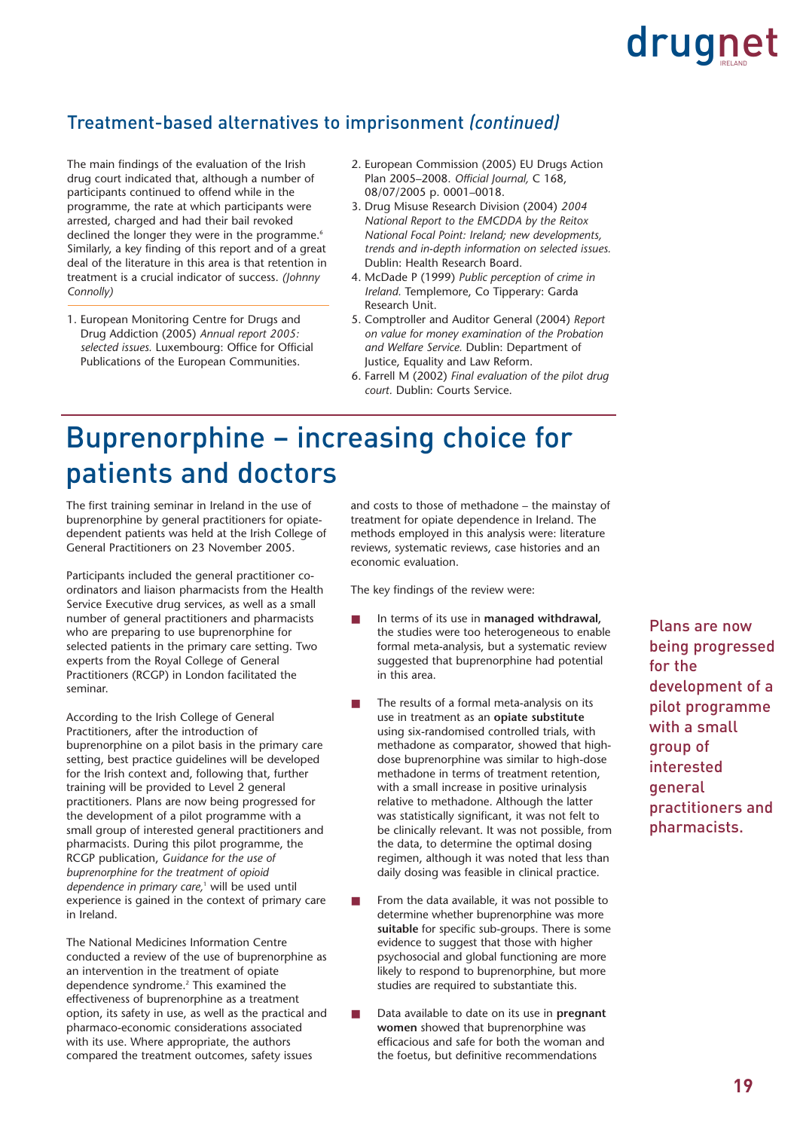### Treatment-based alternatives to imprisonment *(continued)*

The main findings of the evaluation of the Irish drug court indicated that, although a number of participants continued to offend while in the programme, the rate at which participants were arrested, charged and had their bail revoked declined the longer they were in the programme.<sup>6</sup> Similarly, a key finding of this report and of a great deal of the literature in this area is that retention in treatment is a crucial indicator of success. *(Johnny Connolly)*

1. European Monitoring Centre for Drugs and Drug Addiction (2005) *Annual report 2005: selected issues.* Luxembourg: Office for Official Publications of the European Communities.

- 2. European Commission (2005) EU Drugs Action Plan 2005–2008. *Official Journal,* C 168, 08/07/2005 p. 0001–0018.
- 3. Drug Misuse Research Division (2004) *2004 National Report to the EMCDDA by the Reitox National Focal Point: Ireland; new developments, trends and in-depth information on selected issues.* Dublin: Health Research Board.
- 4. McDade P (1999) *Public perception of crime in Ireland.* Templemore, Co Tipperary: Garda Research Unit.
- 5. Comptroller and Auditor General (2004) *Report on value for money examination of the Probation and Welfare Service.* Dublin: Department of Justice, Equality and Law Reform.
- 6. Farrell M (2002) *Final evaluation of the pilot drug court.* Dublin: Courts Service.

### Buprenorphine – increasing choice for patients and doctors

The first training seminar in Ireland in the use of buprenorphine by general practitioners for opiatedependent patients was held at the Irish College of General Practitioners on 23 November 2005.

Participants included the general practitioner coordinators and liaison pharmacists from the Health Service Executive drug services, as well as a small number of general practitioners and pharmacists who are preparing to use buprenorphine for selected patients in the primary care setting. Two experts from the Royal College of General Practitioners (RCGP) in London facilitated the seminar.

According to the Irish College of General Practitioners, after the introduction of buprenorphine on a pilot basis in the primary care setting, best practice guidelines will be developed for the Irish context and, following that, further training will be provided to Level 2 general practitioners. Plans are now being progressed for the development of a pilot programme with a small group of interested general practitioners and pharmacists. During this pilot programme, the RCGP publication, *Guidance for the use of buprenorphine for the treatment of opioid dependence in primary care,*<sup>1</sup> will be used until experience is gained in the context of primary care in Ireland.

The National Medicines Information Centre conducted a review of the use of buprenorphine as an intervention in the treatment of opiate dependence syndrome.2 This examined the effectiveness of buprenorphine as a treatment option, its safety in use, as well as the practical and pharmaco-economic considerations associated with its use. Where appropriate, the authors compared the treatment outcomes, safety issues

and costs to those of methadone – the mainstay of treatment for opiate dependence in Ireland. The methods employed in this analysis were: literature reviews, systematic reviews, case histories and an economic evaluation.

The key findings of the review were:

- In terms of its use in **managed withdrawal**, the studies were too heterogeneous to enable formal meta-analysis, but a systematic review suggested that buprenorphine had potential in this area.
- The results of a formal meta-analysis on its use in treatment as an **opiate substitute** using six-randomised controlled trials, with methadone as comparator, showed that highdose buprenorphine was similar to high-dose methadone in terms of treatment retention, with a small increase in positive urinalysis relative to methadone. Although the latter was statistically significant, it was not felt to be clinically relevant. It was not possible, from the data, to determine the optimal dosing regimen, although it was noted that less than daily dosing was feasible in clinical practice.
- From the data available, it was not possible to determine whether buprenorphine was more **suitable** for specific sub-groups. There is some evidence to suggest that those with higher psychosocial and global functioning are more likely to respond to buprenorphine, but more studies are required to substantiate this.
- Data available to date on its use in **pregnant women** showed that buprenorphine was efficacious and safe for both the woman and the foetus, but definitive recommendations

Plans are now being progressed for the development of a pilot programme with a small group of interested general practitioners and pharmacists.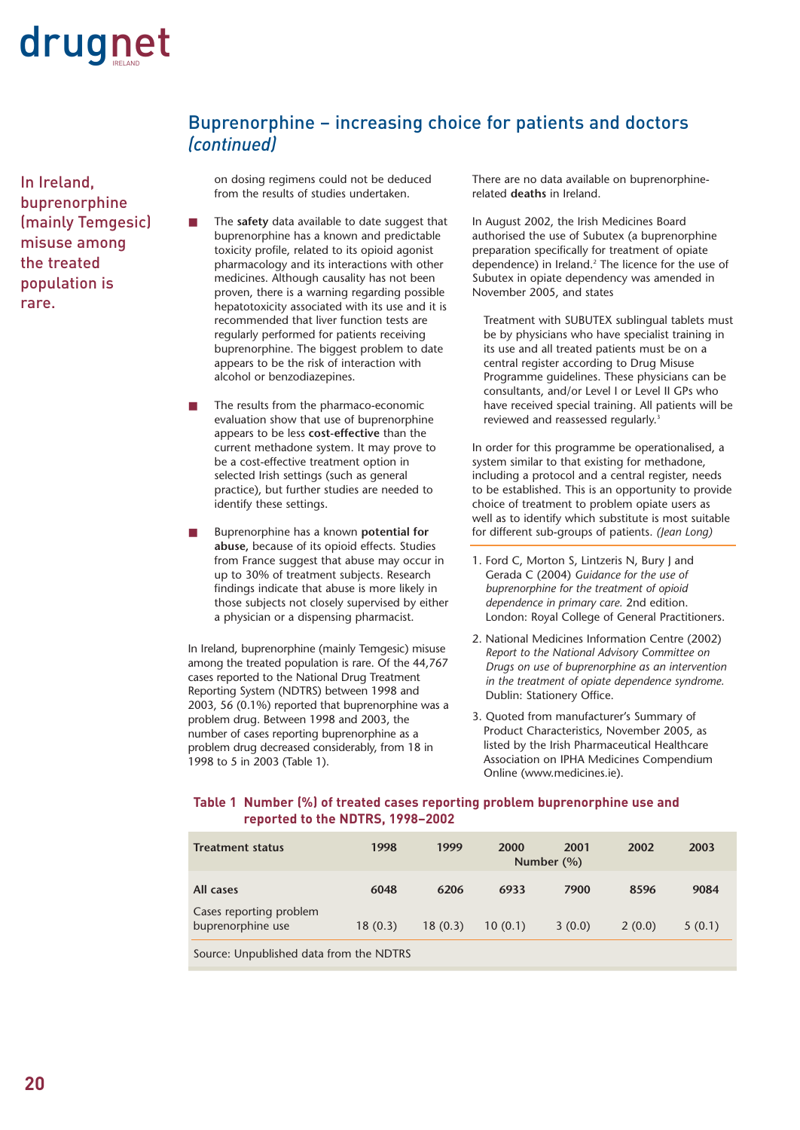

In Ireland, buprenorphine (mainly Temgesic) misuse among the treated population is rare.

on dosing regimens could not be deduced from the results of studies undertaken.

*(continued)*

Buprenorphine – increasing choice for patients and doctors

- The safety data available to date suggest that buprenorphine has a known and predictable toxicity profile, related to its opioid agonist pharmacology and its interactions with other medicines. Although causality has not been proven, there is a warning regarding possible hepatotoxicity associated with its use and it is recommended that liver function tests are regularly performed for patients receiving buprenorphine. The biggest problem to date appears to be the risk of interaction with alcohol or benzodiazepines.
- The results from the pharmaco-economic evaluation show that use of buprenorphine appears to be less **cost-effective** than the current methadone system. It may prove to be a cost-effective treatment option in selected Irish settings (such as general practice), but further studies are needed to identify these settings.
- Buprenorphine has a known **potential for abuse,** because of its opioid effects. Studies from France suggest that abuse may occur in up to 30% of treatment subjects. Research findings indicate that abuse is more likely in those subjects not closely supervised by either a physician or a dispensing pharmacist.

In Ireland, buprenorphine (mainly Temgesic) misuse among the treated population is rare. Of the 44,767 cases reported to the National Drug Treatment Reporting System (NDTRS) between 1998 and 2003, 56 (0.1%) reported that buprenorphine was a problem drug. Between 1998 and 2003, the number of cases reporting buprenorphine as a problem drug decreased considerably, from 18 in 1998 to 5 in 2003 (Table 1).

There are no data available on buprenorphinerelated **deaths** in Ireland.

In August 2002, the Irish Medicines Board authorised the use of Subutex (a buprenorphine preparation specifically for treatment of opiate dependence) in Ireland.<sup>2</sup> The licence for the use of Subutex in opiate dependency was amended in November 2005, and states

Treatment with SUBUTEX sublingual tablets must be by physicians who have specialist training in its use and all treated patients must be on a central register according to Drug Misuse Programme guidelines. These physicians can be consultants, and/or Level I or Level II GPs who have received special training. All patients will be reviewed and reassessed regularly.<sup>3</sup>

In order for this programme be operationalised, a system similar to that existing for methadone, including a protocol and a central register, needs to be established. This is an opportunity to provide choice of treatment to problem opiate users as well as to identify which substitute is most suitable for different sub-groups of patients. *(Jean Long)*

- 1. Ford C, Morton S, Lintzeris N, Bury J and Gerada C (2004) *Guidance for the use of buprenorphine for the treatment of opioid dependence in primary care.* 2nd edition. London: Royal College of General Practitioners.
- 2. National Medicines Information Centre (2002) *Report to the National Advisory Committee on Drugs on use of buprenorphine as an intervention in the treatment of opiate dependence syndrome.* Dublin: Stationery Office.
- 3. Quoted from manufacturer's Summary of Product Characteristics, November 2005, as listed by the Irish Pharmaceutical Healthcare Association on IPHA Medicines Compendium Online (www.medicines.ie).

### **Table 1 Number (%) of treated cases reporting problem buprenorphine use and reported to the NDTRS, 1998–2002**

| <b>Treatment status</b>                      | 1998    | 1999    | 2000    | 2001<br>Number $(\% )$ | 2002   | 2003   |
|----------------------------------------------|---------|---------|---------|------------------------|--------|--------|
| All cases                                    | 6048    | 6206    | 6933    | 7900                   | 8596   | 9084   |
| Cases reporting problem<br>buprenorphine use | 18(0.3) | 18(0.3) | 10(0.1) | 3(0.0)                 | 2(0.0) | 5(0.1) |

Source: Unpublished data from the NDTRS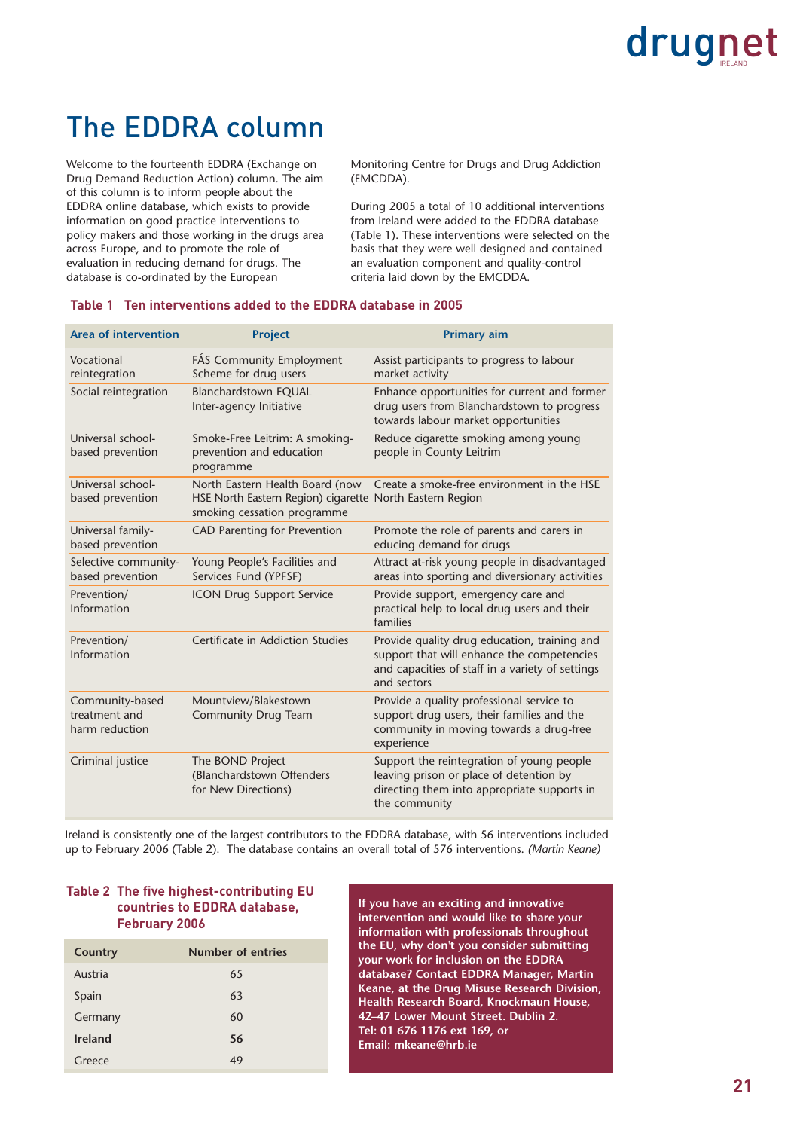### The EDDRA column

Welcome to the fourteenth EDDRA (Exchange on Drug Demand Reduction Action) column. The aim of this column is to inform people about the EDDRA online database, which exists to provide information on good practice interventions to policy makers and those working in the drugs area across Europe, and to promote the role of evaluation in reducing demand for drugs. The database is co-ordinated by the European

Monitoring Centre for Drugs and Drug Addiction (EMCDDA).

During 2005 a total of 10 additional interventions from Ireland were added to the EDDRA database (Table 1). These interventions were selected on the basis that they were well designed and contained an evaluation component and quality-control criteria laid down by the EMCDDA.

| <b>Area of intervention</b>                        | <b>Project</b>                                                                                                             | <b>Primary aim</b>                                                                                                                                            |
|----------------------------------------------------|----------------------------------------------------------------------------------------------------------------------------|---------------------------------------------------------------------------------------------------------------------------------------------------------------|
| Vocational<br>reintegration                        | FÁS Community Employment<br>Scheme for drug users                                                                          | Assist participants to progress to labour<br>market activity                                                                                                  |
| Social reintegration                               | Blanchardstown EQUAL<br>Inter-agency Initiative                                                                            | Enhance opportunities for current and former<br>drug users from Blanchardstown to progress<br>towards labour market opportunities                             |
| Universal school-<br>based prevention              | Smoke-Free Leitrim: A smoking-<br>prevention and education<br>programme                                                    | Reduce cigarette smoking among young<br>people in County Leitrim                                                                                              |
| Universal school-<br>based prevention              | North Eastern Health Board (now<br>HSE North Eastern Region) cigarette North Eastern Region<br>smoking cessation programme | Create a smoke-free environment in the HSE                                                                                                                    |
| Universal family-<br>based prevention              | <b>CAD Parenting for Prevention</b>                                                                                        | Promote the role of parents and carers in<br>educing demand for drugs                                                                                         |
| Selective community-<br>based prevention           | Young People's Facilities and<br>Services Fund (YPFSF)                                                                     | Attract at-risk young people in disadvantaged<br>areas into sporting and diversionary activities                                                              |
| Prevention/<br>Information                         | <b>ICON Drug Support Service</b>                                                                                           | Provide support, emergency care and<br>practical help to local drug users and their<br>families                                                               |
| Prevention/<br>Information                         | Certificate in Addiction Studies                                                                                           | Provide quality drug education, training and<br>support that will enhance the competencies<br>and capacities of staff in a variety of settings<br>and sectors |
| Community-based<br>treatment and<br>harm reduction | Mountview/Blakestown<br><b>Community Drug Team</b>                                                                         | Provide a quality professional service to<br>support drug users, their families and the<br>community in moving towards a drug-free<br>experience              |
| Criminal justice                                   | The BOND Project<br>(Blanchardstown Offenders)<br>for New Directions)                                                      | Support the reintegration of young people<br>leaving prison or place of detention by<br>directing them into appropriate supports in<br>the community          |

### **Table 1 Ten interventions added to the EDDRA database in 2005**

Ireland is consistently one of the largest contributors to the EDDRA database, with 56 interventions included up to February 2006 (Table 2). The database contains an overall total of 576 interventions. *(Martin Keane)*

### **Table 2 The five highest-contributing EU countries to EDDRA database, February 2006**

| Country        | Number of entries |
|----------------|-------------------|
| Austria        | 65                |
| Spain          | 63                |
| Germany        | 60                |
| <b>Ireland</b> | 56                |
| Greece         | 49                |

**If you have an exciting and innovative intervention and would like to share your information with professionals throughout the EU, why don't you consider submitting your work for inclusion on the EDDRA database? Contact EDDRA Manager, Martin Keane, at the Drug Misuse Research Division, Health Research Board, Knockmaun House, 42–47 Lower Mount Street. Dublin 2. Tel: 01 676 1176 ext 169, or Email: mkeane@hrb.ie**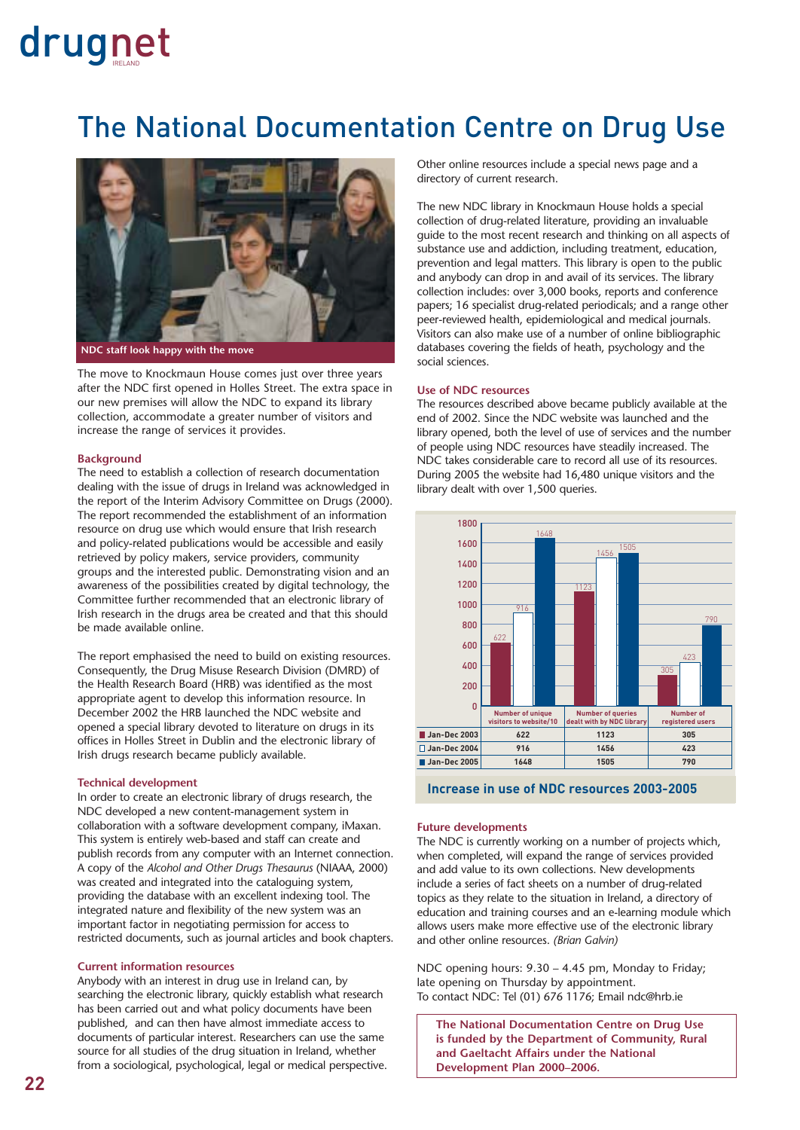### The National Documentation Centre on Drug Use



The move to Knockmaun House comes just over three years after the NDC first opened in Holles Street. The extra space in our new premises will allow the NDC to expand its library collection, accommodate a greater number of visitors and increase the range of services it provides.

### **Background**

The need to establish a collection of research documentation dealing with the issue of drugs in Ireland was acknowledged in the report of the Interim Advisory Committee on Drugs (2000). The report recommended the establishment of an information resource on drug use which would ensure that Irish research and policy-related publications would be accessible and easily retrieved by policy makers, service providers, community groups and the interested public. Demonstrating vision and an awareness of the possibilities created by digital technology, the Committee further recommended that an electronic library of Irish research in the drugs area be created and that this should be made available online.

The report emphasised the need to build on existing resources. Consequently, the Drug Misuse Research Division (DMRD) of the Health Research Board (HRB) was identified as the most appropriate agent to develop this information resource. In December 2002 the HRB launched the NDC website and opened a special library devoted to literature on drugs in its offices in Holles Street in Dublin and the electronic library of Irish drugs research became publicly available.

#### **Technical development**

In order to create an electronic library of drugs research, the NDC developed a new content-management system in collaboration with a software development company, iMaxan. This system is entirely web-based and staff can create and publish records from any computer with an Internet connection. A copy of the *Alcohol and Other Drugs Thesaurus* (NIAAA, 2000) was created and integrated into the cataloguing system, providing the database with an excellent indexing tool. The integrated nature and flexibility of the new system was an important factor in negotiating permission for access to restricted documents, such as journal articles and book chapters.

### **Current information resources**

Anybody with an interest in drug use in Ireland can, by searching the electronic library, quickly establish what research has been carried out and what policy documents have been published, and can then have almost immediate access to documents of particular interest. Researchers can use the same source for all studies of the drug situation in Ireland, whether from a sociological, psychological, legal or medical perspective. Other online resources include a special news page and a directory of current research.

The new NDC library in Knockmaun House holds a special collection of drug-related literature, providing an invaluable guide to the most recent research and thinking on all aspects of substance use and addiction, including treatment, education, prevention and legal matters. This library is open to the public and anybody can drop in and avail of its services. The library collection includes: over 3,000 books, reports and conference papers; 16 specialist drug-related periodicals; and a range other peer-reviewed health, epidemiological and medical journals. Visitors can also make use of a number of online bibliographic databases covering the fields of heath, psychology and the social sciences.

#### **Use of NDC resources**

The resources described above became publicly available at the end of 2002. Since the NDC website was launched and the library opened, both the level of use of services and the number of people using NDC resources have steadily increased. The NDC takes considerable care to record all use of its resources. During 2005 the website had 16,480 unique visitors and the library dealt with over 1,500 queries.



**Increase in use of NDC resources 2003-2005**

### **Future developments**

The NDC is currently working on a number of projects which, when completed, will expand the range of services provided and add value to its own collections. New developments include a series of fact sheets on a number of drug-related topics as they relate to the situation in Ireland, a directory of education and training courses and an e-learning module which allows users make more effective use of the electronic library and other online resources. *(Brian Galvin)*

NDC opening hours: 9.30 – 4.45 pm, Monday to Friday; late opening on Thursday by appointment. To contact NDC: Tel (01) 676 1176; Email ndc@hrb.ie

**The National Documentation Centre on Drug Use is funded by the Department of Community, Rural and Gaeltacht Affairs under the National Development Plan 2000–2006.**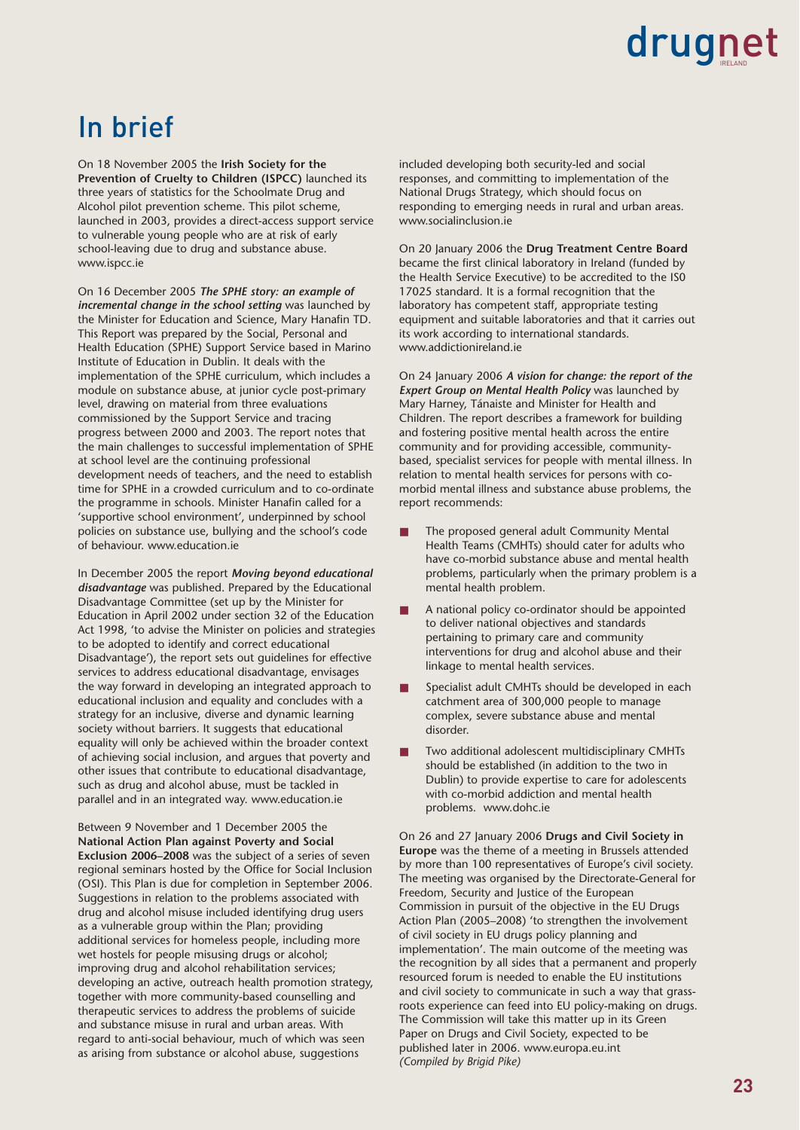### In brief

On 18 November 2005 the **Irish Society for the Prevention of Cruelty to Children (ISPCC)** launched its three years of statistics for the Schoolmate Drug and Alcohol pilot prevention scheme. This pilot scheme, launched in 2003, provides a direct-access support service to vulnerable young people who are at risk of early school-leaving due to drug and substance abuse. www.ispcc.ie

On 16 December 2005 *The SPHE story: an example of incremental change in the school setting* was launched by the Minister for Education and Science, Mary Hanafin TD. This Report was prepared by the Social, Personal and Health Education (SPHE) Support Service based in Marino Institute of Education in Dublin. It deals with the implementation of the SPHE curriculum, which includes a module on substance abuse, at junior cycle post-primary level, drawing on material from three evaluations commissioned by the Support Service and tracing progress between 2000 and 2003. The report notes that the main challenges to successful implementation of SPHE at school level are the continuing professional development needs of teachers, and the need to establish time for SPHE in a crowded curriculum and to co-ordinate the programme in schools. Minister Hanafin called for a 'supportive school environment', underpinned by school policies on substance use, bullying and the school's code of behaviour. www.education.ie

In December 2005 the report *Moving beyond educational disadvantage* was published. Prepared by the Educational Disadvantage Committee (set up by the Minister for Education in April 2002 under section 32 of the Education Act 1998, 'to advise the Minister on policies and strategies to be adopted to identify and correct educational Disadvantage'), the report sets out guidelines for effective services to address educational disadvantage, envisages the way forward in developing an integrated approach to educational inclusion and equality and concludes with a strategy for an inclusive, diverse and dynamic learning society without barriers. It suggests that educational equality will only be achieved within the broader context of achieving social inclusion, and argues that poverty and other issues that contribute to educational disadvantage, such as drug and alcohol abuse, must be tackled in parallel and in an integrated way. www.education.ie

Between 9 November and 1 December 2005 the **National Action Plan against Poverty and Social Exclusion 2006–2008** was the subject of a series of seven regional seminars hosted by the Office for Social Inclusion (OSI). This Plan is due for completion in September 2006. Suggestions in relation to the problems associated with drug and alcohol misuse included identifying drug users as a vulnerable group within the Plan; providing additional services for homeless people, including more wet hostels for people misusing drugs or alcohol; improving drug and alcohol rehabilitation services; developing an active, outreach health promotion strategy, together with more community-based counselling and therapeutic services to address the problems of suicide and substance misuse in rural and urban areas. With regard to anti-social behaviour, much of which was seen as arising from substance or alcohol abuse, suggestions

included developing both security-led and social responses, and committing to implementation of the National Drugs Strategy, which should focus on responding to emerging needs in rural and urban areas. www.socialinclusion.ie

On 20 January 2006 the **Drug Treatment Centre Board** became the first clinical laboratory in Ireland (funded by the Health Service Executive) to be accredited to the IS0 17025 standard. It is a formal recognition that the laboratory has competent staff, appropriate testing equipment and suitable laboratories and that it carries out its work according to international standards. www.addictionireland.ie

On 24 January 2006 *A vision for change: the report of the Expert Group on Mental Health Policy* was launched by Mary Harney, Tánaiste and Minister for Health and Children. The report describes a framework for building and fostering positive mental health across the entire community and for providing accessible, communitybased, specialist services for people with mental illness. In relation to mental health services for persons with comorbid mental illness and substance abuse problems, the report recommends:

- The proposed general adult Community Mental Health Teams (CMHTs) should cater for adults who have co-morbid substance abuse and mental health problems, particularly when the primary problem is a mental health problem.
- A national policy co-ordinator should be appointed to deliver national objectives and standards pertaining to primary care and community interventions for drug and alcohol abuse and their linkage to mental health services.
- Specialist adult CMHTs should be developed in each catchment area of 300,000 people to manage complex, severe substance abuse and mental disorder.
- Two additional adolescent multidisciplinary CMHTs should be established (in addition to the two in Dublin) to provide expertise to care for adolescents with co-morbid addiction and mental health problems. www.dohc.ie

On 26 and 27 January 2006 **Drugs and Civil Society in Europe** was the theme of a meeting in Brussels attended by more than 100 representatives of Europe's civil society. The meeting was organised by the Directorate-General for Freedom, Security and Justice of the European Commission in pursuit of the objective in the EU Drugs Action Plan (2005–2008) 'to strengthen the involvement of civil society in EU drugs policy planning and implementation'. The main outcome of the meeting was the recognition by all sides that a permanent and properly resourced forum is needed to enable the EU institutions and civil society to communicate in such a way that grassroots experience can feed into EU policy-making on drugs. The Commission will take this matter up in its Green Paper on Drugs and Civil Society, expected to be published later in 2006. www.europa.eu.int *(Compiled by Brigid Pike)*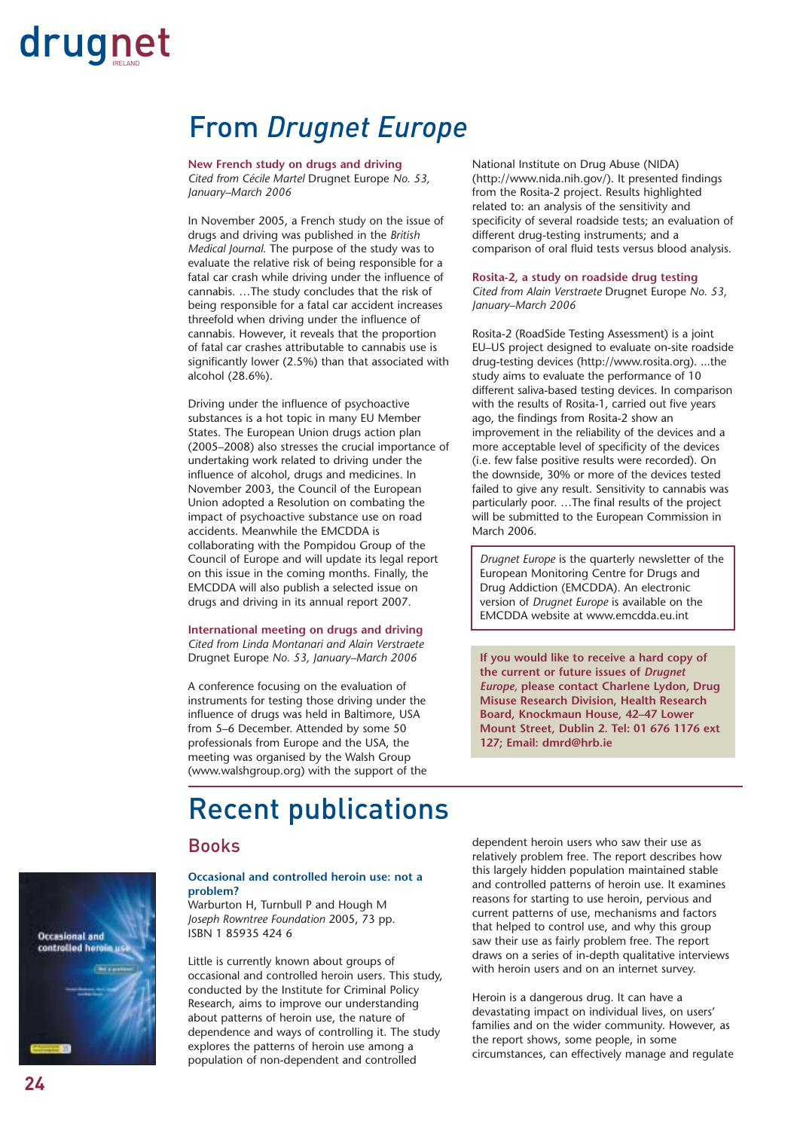### From *Drugnet Europe*

**New French study on drugs and driving** *Cited from Cécile Martel* Drugnet Europe *No. 53, January–March 2006*

In November 2005, a French study on the issue of drugs and driving was published in the *British Medical Journal.* The purpose of the study was to evaluate the relative risk of being responsible for a fatal car crash while driving under the influence of cannabis. …The study concludes that the risk of being responsible for a fatal car accident increases threefold when driving under the influence of cannabis. However, it reveals that the proportion of fatal car crashes attributable to cannabis use is significantly lower (2.5%) than that associated with alcohol (28.6%).

Driving under the influence of psychoactive substances is a hot topic in many EU Member States. The European Union drugs action plan (2005–2008) also stresses the crucial importance of undertaking work related to driving under the influence of alcohol, drugs and medicines. In November 2003, the Council of the European Union adopted a Resolution on combating the impact of psychoactive substance use on road accidents. Meanwhile the EMCDDA is collaborating with the Pompidou Group of the Council of Europe and will update its legal report on this issue in the coming months. Finally, the EMCDDA will also publish a selected issue on drugs and driving in its annual report 2007.

**International meeting on drugs and driving** *Cited from Linda Montanari and Alain Verstraete* Drugnet Europe *No. 53, January–March 2006*

A conference focusing on the evaluation of instruments for testing those driving under the influence of drugs was held in Baltimore, USA from 5–6 December. Attended by some 50 professionals from Europe and the USA, the meeting was organised by the Walsh Group (www.walshgroup.org) with the support of the

Recent publications

### Books

### **Occasional and controlled heroin use: not a problem?**

Warburton H, Turnbull P and Hough M *Joseph Rowntree Foundation* 2005, 73 pp. ISBN 1 85935 424 6

Little is currently known about groups of occasional and controlled heroin users. This study, conducted by the Institute for Criminal Policy Research, aims to improve our understanding about patterns of heroin use, the nature of dependence and ways of controlling it. The study explores the patterns of heroin use among a population of non-dependent and controlled

National Institute on Drug Abuse (NIDA) (http://www.nida.nih.gov/). It presented findings from the Rosita-2 project. Results highlighted related to: an analysis of the sensitivity and specificity of several roadside tests; an evaluation of different drug-testing instruments; and a comparison of oral fluid tests versus blood analysis.

#### **Rosita-2, a study on roadside drug testing**

*Cited from Alain Verstraete* Drugnet Europe *No. 53, January–March 2006*

Rosita-2 (RoadSide Testing Assessment) is a joint EU–US project designed to evaluate on-site roadside drug-testing devices (http://www.rosita.org). ...the study aims to evaluate the performance of 10 different saliva-based testing devices. In comparison with the results of Rosita-1, carried out five years ago, the findings from Rosita-2 show an improvement in the reliability of the devices and a more acceptable level of specificity of the devices (i.e. few false positive results were recorded). On the downside, 30% or more of the devices tested failed to give any result. Sensitivity to cannabis was particularly poor. …The final results of the project will be submitted to the European Commission in March 2006.

*Drugnet Europe* is the quarterly newsletter of the European Monitoring Centre for Drugs and Drug Addiction (EMCDDA). An electronic version of *Drugnet Europe* is available on the EMCDDA website at www.emcdda.eu.int

**If you would like to receive a hard copy of the current or future issues of** *Drugnet Europe,* **please contact Charlene Lydon, Drug Misuse Research Division, Health Research Board, Knockmaun House, 42–47 Lower Mount Street, Dublin 2. Tel: 01 676 1176 ext 127; Email: dmrd@hrb.ie**

dependent heroin users who saw their use as relatively problem free. The report describes how this largely hidden population maintained stable and controlled patterns of heroin use. It examines reasons for starting to use heroin, pervious and current patterns of use, mechanisms and factors that helped to control use, and why this group saw their use as fairly problem free. The report draws on a series of in-depth qualitative interviews with heroin users and on an internet survey.

Heroin is a dangerous drug. It can have a devastating impact on individual lives, on users' families and on the wider community. However, as the report shows, some people, in some circumstances, can effectively manage and regulate

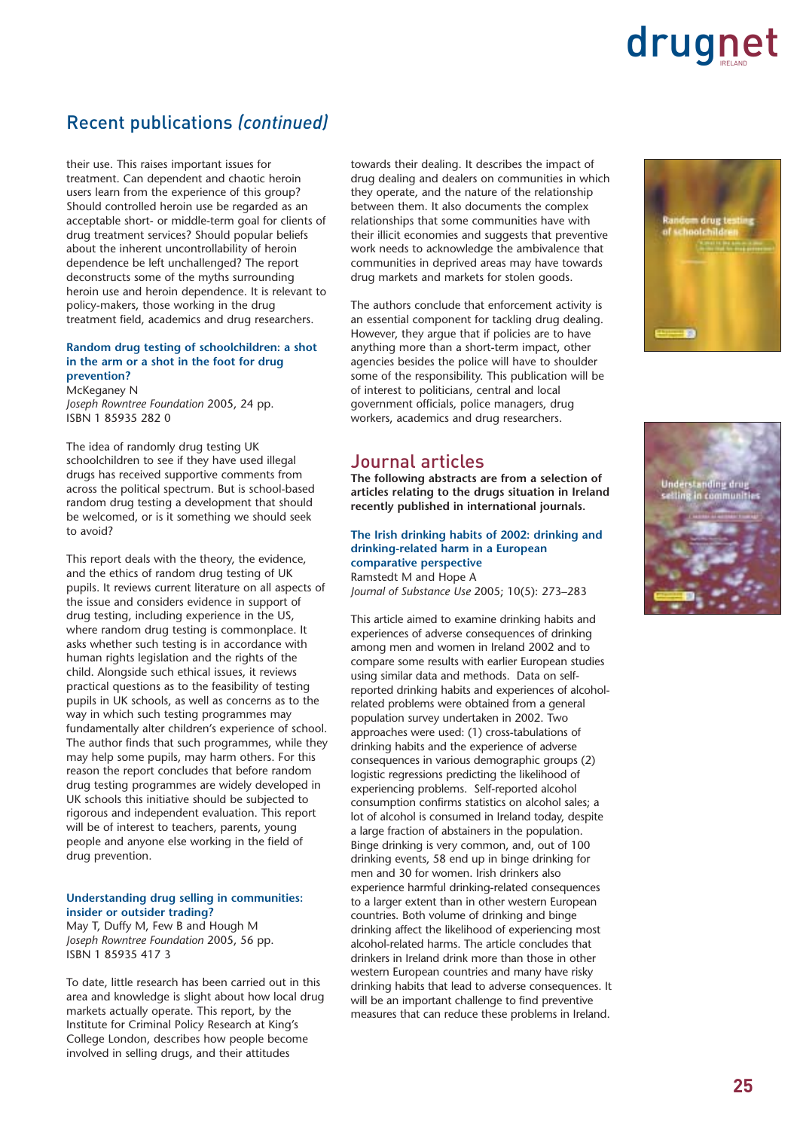### Recent publications *(continued)*

their use. This raises important issues for treatment. Can dependent and chaotic heroin users learn from the experience of this group? Should controlled heroin use be regarded as an acceptable short- or middle-term goal for clients of drug treatment services? Should popular beliefs about the inherent uncontrollability of heroin dependence be left unchallenged? The report deconstructs some of the myths surrounding heroin use and heroin dependence. It is relevant to policy-makers, those working in the drug treatment field, academics and drug researchers.

### **Random drug testing of schoolchildren: a shot in the arm or a shot in the foot for drug prevention?**

McKeganey N *Joseph Rowntree Foundation* 2005, 24 pp. ISBN 1 85935 282 0

The idea of randomly drug testing UK schoolchildren to see if they have used illegal drugs has received supportive comments from across the political spectrum. But is school-based random drug testing a development that should be welcomed, or is it something we should seek to avoid?

This report deals with the theory, the evidence, and the ethics of random drug testing of UK pupils. It reviews current literature on all aspects of the issue and considers evidence in support of drug testing, including experience in the US, where random drug testing is commonplace. It asks whether such testing is in accordance with human rights legislation and the rights of the child. Alongside such ethical issues, it reviews practical questions as to the feasibility of testing pupils in UK schools, as well as concerns as to the way in which such testing programmes may fundamentally alter children's experience of school. The author finds that such programmes, while they may help some pupils, may harm others. For this reason the report concludes that before random drug testing programmes are widely developed in UK schools this initiative should be subjected to rigorous and independent evaluation. This report will be of interest to teachers, parents, young people and anyone else working in the field of drug prevention.

#### **Understanding drug selling in communities: insider or outsider trading?**

May T, Duffy M, Few B and Hough M *Joseph Rowntree Foundation* 2005, 56 pp. ISBN 1 85935 417 3

To date, little research has been carried out in this area and knowledge is slight about how local drug markets actually operate. This report, by the Institute for Criminal Policy Research at King's College London, describes how people become involved in selling drugs, and their attitudes

towards their dealing. It describes the impact of drug dealing and dealers on communities in which they operate, and the nature of the relationship between them. It also documents the complex relationships that some communities have with their illicit economies and suggests that preventive work needs to acknowledge the ambivalence that communities in deprived areas may have towards drug markets and markets for stolen goods.

The authors conclude that enforcement activity is an essential component for tackling drug dealing. However, they argue that if policies are to have anything more than a short-term impact, other agencies besides the police will have to shoulder some of the responsibility. This publication will be of interest to politicians, central and local government officials, police managers, drug workers, academics and drug researchers.

### Journal articles

**The following abstracts are from a selection of articles relating to the drugs situation in Ireland recently published in international journals.**

**The Irish drinking habits of 2002: drinking and drinking-related harm in a European comparative perspective** Ramstedt M and Hope A *Journal of Substance Use* 2005; 10(5): 273–283

This article aimed to examine drinking habits and experiences of adverse consequences of drinking among men and women in Ireland 2002 and to compare some results with earlier European studies using similar data and methods. Data on selfreported drinking habits and experiences of alcoholrelated problems were obtained from a general population survey undertaken in 2002. Two approaches were used: (1) cross-tabulations of drinking habits and the experience of adverse consequences in various demographic groups (2) logistic regressions predicting the likelihood of experiencing problems. Self-reported alcohol consumption confirms statistics on alcohol sales; a lot of alcohol is consumed in Ireland today, despite a large fraction of abstainers in the population. Binge drinking is very common, and, out of 100 drinking events, 58 end up in binge drinking for men and 30 for women. Irish drinkers also experience harmful drinking-related consequences to a larger extent than in other western European countries. Both volume of drinking and binge drinking affect the likelihood of experiencing most alcohol-related harms. The article concludes that drinkers in Ireland drink more than those in other western European countries and many have risky drinking habits that lead to adverse consequences. It will be an important challenge to find preventive measures that can reduce these problems in Ireland.



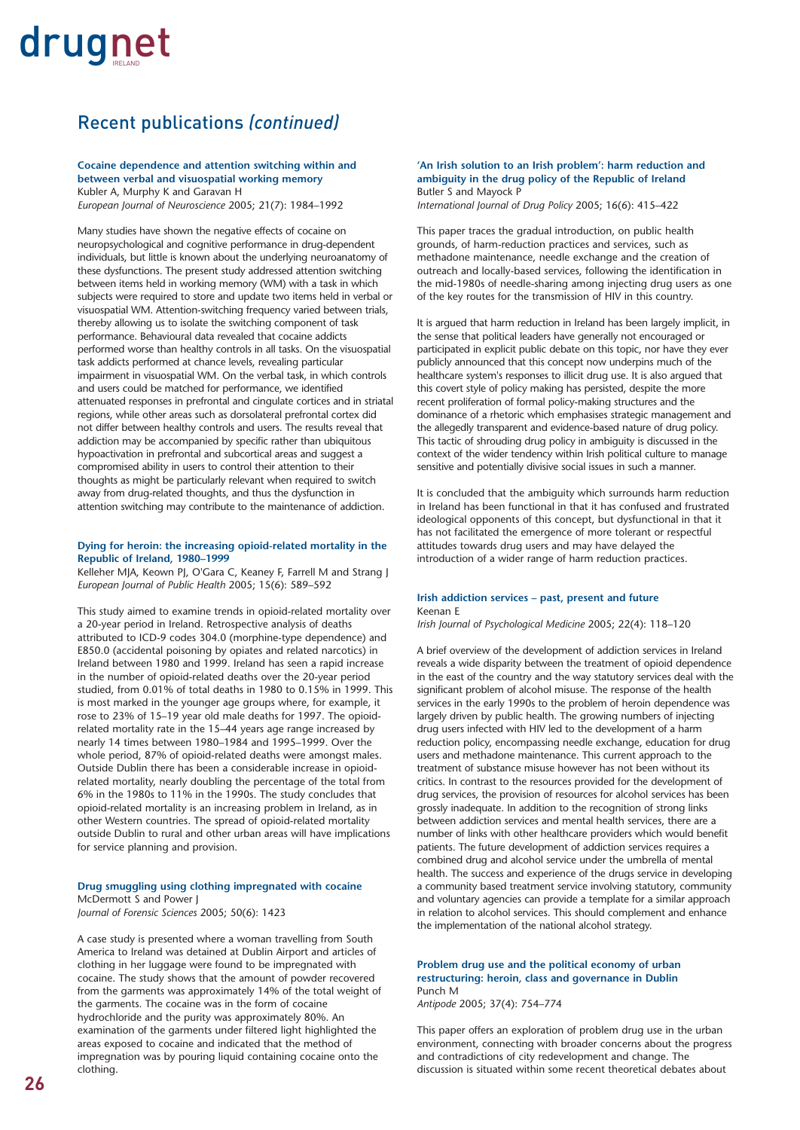### Recent publications *(continued)*

#### **Cocaine dependence and attention switching within and between verbal and visuospatial working memory** Kubler A, Murphy K and Garavan H

*European Journal of Neuroscience* 2005; 21(7): 1984–1992

Many studies have shown the negative effects of cocaine on neuropsychological and cognitive performance in drug-dependent individuals, but little is known about the underlying neuroanatomy of these dysfunctions. The present study addressed attention switching between items held in working memory (WM) with a task in which subjects were required to store and update two items held in verbal or visuospatial WM. Attention-switching frequency varied between trials, thereby allowing us to isolate the switching component of task performance. Behavioural data revealed that cocaine addicts performed worse than healthy controls in all tasks. On the visuospatial task addicts performed at chance levels, revealing particular impairment in visuospatial WM. On the verbal task, in which controls and users could be matched for performance, we identified attenuated responses in prefrontal and cingulate cortices and in striatal regions, while other areas such as dorsolateral prefrontal cortex did not differ between healthy controls and users. The results reveal that addiction may be accompanied by specific rather than ubiquitous hypoactivation in prefrontal and subcortical areas and suggest a compromised ability in users to control their attention to their thoughts as might be particularly relevant when required to switch away from drug-related thoughts, and thus the dysfunction in attention switching may contribute to the maintenance of addiction.

#### **Dying for heroin: the increasing opioid-related mortality in the Republic of Ireland, 1980–1999**

Kelleher MJA, Keown PJ, O'Gara C, Keaney F, Farrell M and Strang J *European Journal of Public Health* 2005; 15(6): 589–592

This study aimed to examine trends in opioid-related mortality over a 20-year period in Ireland. Retrospective analysis of deaths attributed to ICD-9 codes 304.0 (morphine-type dependence) and E850.0 (accidental poisoning by opiates and related narcotics) in Ireland between 1980 and 1999. Ireland has seen a rapid increase in the number of opioid-related deaths over the 20-year period studied, from 0.01% of total deaths in 1980 to 0.15% in 1999. This is most marked in the younger age groups where, for example, it rose to 23% of 15–19 year old male deaths for 1997. The opioidrelated mortality rate in the 15–44 years age range increased by nearly 14 times between 1980–1984 and 1995–1999. Over the whole period, 87% of opioid-related deaths were amongst males. Outside Dublin there has been a considerable increase in opioidrelated mortality, nearly doubling the percentage of the total from 6% in the 1980s to 11% in the 1990s. The study concludes that opioid-related mortality is an increasing problem in Ireland, as in other Western countries. The spread of opioid-related mortality outside Dublin to rural and other urban areas will have implications for service planning and provision.

#### **Drug smuggling using clothing impregnated with cocaine** McDermott S and Power J *Journal of Forensic Sciences* 2005; 50(6): 1423

A case study is presented where a woman travelling from South America to Ireland was detained at Dublin Airport and articles of clothing in her luggage were found to be impregnated with cocaine. The study shows that the amount of powder recovered from the garments was approximately 14% of the total weight of the garments. The cocaine was in the form of cocaine hydrochloride and the purity was approximately 80%. An examination of the garments under filtered light highlighted the areas exposed to cocaine and indicated that the method of impregnation was by pouring liquid containing cocaine onto the clothing.

### **'An Irish solution to an Irish problem': harm reduction and ambiguity in the drug policy of the Republic of Ireland** Butler S and Mayock P

*International Journal of Drug Policy* 2005; 16(6): 415–422

This paper traces the gradual introduction, on public health grounds, of harm-reduction practices and services, such as methadone maintenance, needle exchange and the creation of outreach and locally-based services, following the identification in the mid-1980s of needle-sharing among injecting drug users as one of the key routes for the transmission of HIV in this country.

It is argued that harm reduction in Ireland has been largely implicit, in the sense that political leaders have generally not encouraged or participated in explicit public debate on this topic, nor have they ever publicly announced that this concept now underpins much of the healthcare system's responses to illicit drug use. It is also argued that this covert style of policy making has persisted, despite the more recent proliferation of formal policy-making structures and the dominance of a rhetoric which emphasises strategic management and the allegedly transparent and evidence-based nature of drug policy. This tactic of shrouding drug policy in ambiguity is discussed in the context of the wider tendency within Irish political culture to manage sensitive and potentially divisive social issues in such a manner.

It is concluded that the ambiguity which surrounds harm reduction in Ireland has been functional in that it has confused and frustrated ideological opponents of this concept, but dysfunctional in that it has not facilitated the emergence of more tolerant or respectful attitudes towards drug users and may have delayed the introduction of a wider range of harm reduction practices.

#### **Irish addiction services – past, present and future** Keenan E

*Irish Journal of Psychological Medicine* 2005; 22(4): 118–120

A brief overview of the development of addiction services in Ireland reveals a wide disparity between the treatment of opioid dependence in the east of the country and the way statutory services deal with the significant problem of alcohol misuse. The response of the health services in the early 1990s to the problem of heroin dependence was largely driven by public health. The growing numbers of injecting drug users infected with HIV led to the development of a harm reduction policy, encompassing needle exchange, education for drug users and methadone maintenance. This current approach to the treatment of substance misuse however has not been without its critics. In contrast to the resources provided for the development of drug services, the provision of resources for alcohol services has been grossly inadequate. In addition to the recognition of strong links between addiction services and mental health services, there are a number of links with other healthcare providers which would benefit patients. The future development of addiction services requires a combined drug and alcohol service under the umbrella of mental health. The success and experience of the drugs service in developing a community based treatment service involving statutory, community and voluntary agencies can provide a template for a similar approach in relation to alcohol services. This should complement and enhance the implementation of the national alcohol strategy.

### **Problem drug use and the political economy of urban restructuring: heroin, class and governance in Dublin** Punch M

*Antipode* 2005; 37(4): 754–774

This paper offers an exploration of problem drug use in the urban environment, connecting with broader concerns about the progress and contradictions of city redevelopment and change. The discussion is situated within some recent theoretical debates about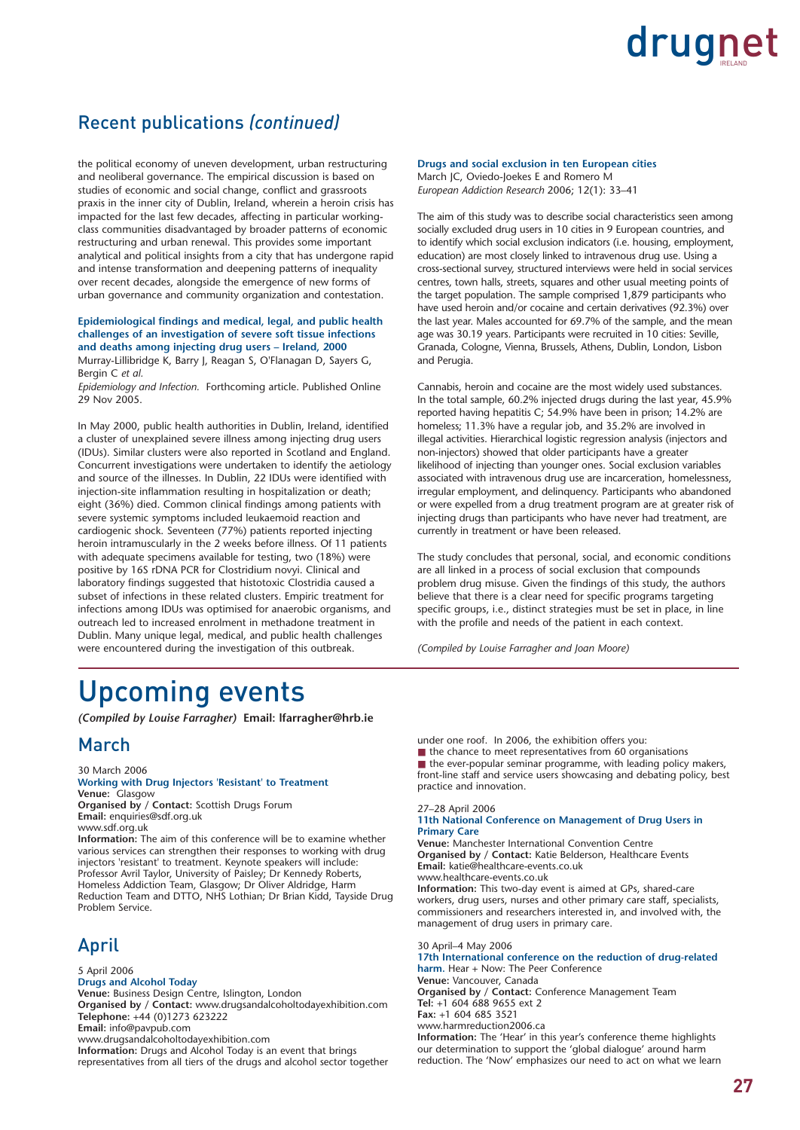### Recent publications *(continued)*

the political economy of uneven development, urban restructuring and neoliberal governance. The empirical discussion is based on studies of economic and social change, conflict and grassroots praxis in the inner city of Dublin, Ireland, wherein a heroin crisis has impacted for the last few decades, affecting in particular workingclass communities disadvantaged by broader patterns of economic restructuring and urban renewal. This provides some important analytical and political insights from a city that has undergone rapid and intense transformation and deepening patterns of inequality over recent decades, alongside the emergence of new forms of urban governance and community organization and contestation.

### **Epidemiological findings and medical, legal, and public health challenges of an investigation of severe soft tissue infections and deaths among injecting drug users – Ireland, 2000**

Murray-Lillibridge K, Barry J, Reagan S, O'Flanagan D, Sayers G, Bergin C *et al.* 

*Epidemiology and Infection.* Forthcoming article. Published Online 29 Nov 2005.

In May 2000, public health authorities in Dublin, Ireland, identified a cluster of unexplained severe illness among injecting drug users (IDUs). Similar clusters were also reported in Scotland and England. Concurrent investigations were undertaken to identify the aetiology and source of the illnesses. In Dublin, 22 IDUs were identified with injection-site inflammation resulting in hospitalization or death; eight (36%) died. Common clinical findings among patients with severe systemic symptoms included leukaemoid reaction and cardiogenic shock. Seventeen (77%) patients reported injecting heroin intramuscularly in the 2 weeks before illness. Of 11 patients with adequate specimens available for testing, two (18%) were positive by 16S rDNA PCR for Clostridium novyi. Clinical and laboratory findings suggested that histotoxic Clostridia caused a subset of infections in these related clusters. Empiric treatment for infections among IDUs was optimised for anaerobic organisms, and outreach led to increased enrolment in methadone treatment in Dublin. Many unique legal, medical, and public health challenges were encountered during the investigation of this outbreak.

#### **Drugs and social exclusion in ten European cities** March JC, Oviedo-Joekes E and Romero M

*European Addiction Research* 2006; 12(1): 33–41

The aim of this study was to describe social characteristics seen among socially excluded drug users in 10 cities in 9 European countries, and to identify which social exclusion indicators (i.e. housing, employment, education) are most closely linked to intravenous drug use. Using a cross-sectional survey, structured interviews were held in social services centres, town halls, streets, squares and other usual meeting points of the target population. The sample comprised 1,879 participants who have used heroin and/or cocaine and certain derivatives (92.3%) over the last year. Males accounted for 69.7% of the sample, and the mean age was 30.19 years. Participants were recruited in 10 cities: Seville, Granada, Cologne, Vienna, Brussels, Athens, Dublin, London, Lisbon and Perugia.

Cannabis, heroin and cocaine are the most widely used substances. In the total sample, 60.2% injected drugs during the last year, 45.9% reported having hepatitis C; 54.9% have been in prison; 14.2% are homeless; 11.3% have a regular job, and 35.2% are involved in illegal activities. Hierarchical logistic regression analysis (injectors and non-injectors) showed that older participants have a greater likelihood of injecting than younger ones. Social exclusion variables associated with intravenous drug use are incarceration, homelessness, irregular employment, and delinquency. Participants who abandoned or were expelled from a drug treatment program are at greater risk of injecting drugs than participants who have never had treatment, are currently in treatment or have been released.

The study concludes that personal, social, and economic conditions are all linked in a process of social exclusion that compounds problem drug misuse. Given the findings of this study, the authors believe that there is a clear need for specific programs targeting specific groups, i.e., distinct strategies must be set in place, in line with the profile and needs of the patient in each context.

*(Compiled by Louise Farragher and Joan Moore)*

### Upcoming events

*(Compiled by Louise Farragher)* **Email: lfarragher@hrb.ie**

### March

30 March 2006 **Working with Drug Injectors 'Resistant' to Treatment Venue:** Glasgow **Organised by / Contact:** Scottish Drugs Forum **Email:** enquiries@sdf.org.uk www.sdf.org.uk

**Information:** The aim of this conference will be to examine whether various services can strengthen their responses to working with drug injectors 'resistant' to treatment. Keynote speakers will include: Professor Avril Taylor, University of Paisley; Dr Kennedy Roberts, Homeless Addiction Team, Glasgow; Dr Oliver Aldridge, Harm Reduction Team and DTTO, NHS Lothian; Dr Brian Kidd, Tayside Drug Problem Service.

### April

5 April 2006 **Drugs and Alcohol Today Venue:** Business Design Centre, Islington, London **Organised by / Contact:** www.drugsandalcoholtodayexhibition.com **Telephone:** +44 (0)1273 623222 **Email:** info@pavpub.com www.drugsandalcoholtodayexhibition.com **Information:** Drugs and Alcohol Today is an event that brings

representatives from all tiers of the drugs and alcohol sector together

under one roof. In 2006, the exhibition offers you:  $\blacksquare$  the chance to meet representatives from 60 organisations

■ the ever-popular seminar programme, with leading policy makers, front-line staff and service users showcasing and debating policy, best practice and innovation.

### 27–28 April 2006

#### **11th National Conference on Management of Drug Users in Primary Care**

**Venue:** Manchester International Convention Centre **Organised by / Contact:** Katie Belderson, Healthcare Events **Email:** katie@healthcare-events.co.uk www.healthcare-events.co.uk **Information:** This two-day event is aimed at GPs, shared-care workers, drug users, nurses and other primary care staff, specialists, commissioners and researchers interested in, and involved with, the management of drug users in primary care.

30 April–4 May 2006 **17th International conference on the reduction of drug-related harm.** Hear + Now: The Peer Conference **Venue:** Vancouver, Canada **Organised by / Contact:** Conference Management Team **Tel:** +1 604 688 9655 ext 2 **Fax:** +1 604 685 3521 www.harmreduction2006.ca **Information:** The 'Hear' in this year's conference theme highlights our determination to support the 'global dialogue' around harm reduction. The 'Now' emphasizes our need to act on what we learn